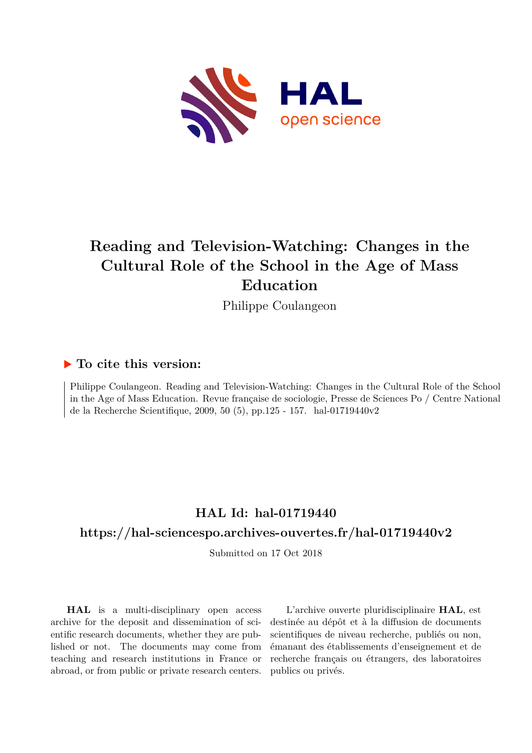

## **Reading and Television-Watching: Changes in the Cultural Role of the School in the Age of Mass Education**

Philippe Coulangeon

### **To cite this version:**

Philippe Coulangeon. Reading and Television-Watching: Changes in the Cultural Role of the School in the Age of Mass Education. Revue française de sociologie, Presse de Sciences Po / Centre National de la Recherche Scientifique, 2009, 50 (5), pp.125 - 157. hal-01719440v2

# **HAL Id: hal-01719440**

## **<https://hal-sciencespo.archives-ouvertes.fr/hal-01719440v2>**

Submitted on 17 Oct 2018

**HAL** is a multi-disciplinary open access archive for the deposit and dissemination of scientific research documents, whether they are published or not. The documents may come from teaching and research institutions in France or abroad, or from public or private research centers.

L'archive ouverte pluridisciplinaire **HAL**, est destinée au dépôt et à la diffusion de documents scientifiques de niveau recherche, publiés ou non, émanant des établissements d'enseignement et de recherche français ou étrangers, des laboratoires publics ou privés.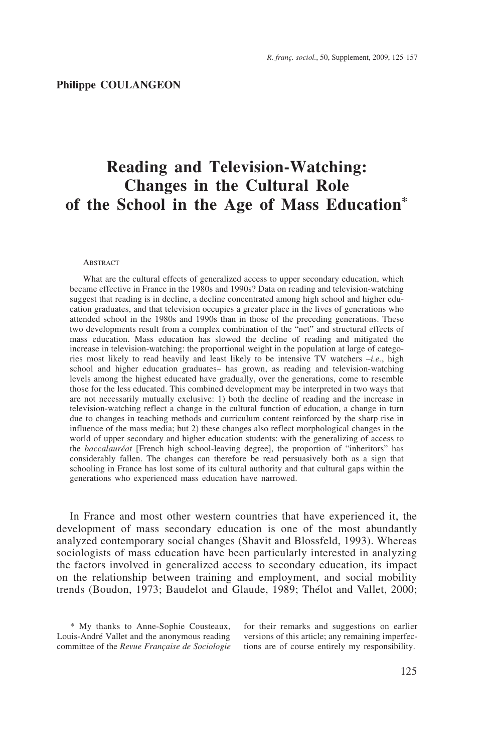## **Reading and Television-Watching: Changes in the Cultural Role of the School in the Age of Mass Education\***

#### ABSTRACT

What are the cultural effects of generalized access to upper secondary education, which became effective in France in the 1980s and 1990s? Data on reading and television-watching suggest that reading is in decline, a decline concentrated among high school and higher education graduates, and that television occupies a greater place in the lives of generations who attended school in the 1980s and 1990s than in those of the preceding generations. These two developments result from a complex combination of the "net" and structural effects of mass education. Mass education has slowed the decline of reading and mitigated the increase in television-watching: the proportional weight in the population at large of categories most likely to read heavily and least likely to be intensive TV watchers –*i.e.*, high school and higher education graduates– has grown, as reading and television-watching levels among the highest educated have gradually, over the generations, come to resemble those for the less educated. This combined development may be interpreted in two ways that are not necessarily mutually exclusive: 1) both the decline of reading and the increase in television-watching reflect a change in the cultural function of education, a change in turn due to changes in teaching methods and curriculum content reinforced by the sharp rise in influence of the mass media; but 2) these changes also reflect morphological changes in the world of upper secondary and higher education students: with the generalizing of access to the *baccalauréat* [French high school-leaving degree], the proportion of "inheritors" has considerably fallen. The changes can therefore be read persuasively both as a sign that schooling in France has lost some of its cultural authority and that cultural gaps within the generations who experienced mass education have narrowed.

In France and most other western countries that have experienced it, the development of mass secondary education is one of the most abundantly analyzed contemporary social changes (Shavit and Blossfeld, 1993). Whereas sociologists of mass education have been particularly interested in analyzing the factors involved in generalized access to secondary education, its impact on the relationship between training and employment, and social mobility trends (Boudon, 1973; Baudelot and Glaude, 1989; Thélot and Vallet, 2000;

\* My thanks to Anne-Sophie Cousteaux, Louis-André Vallet and the anonymous reading committee of the *Revue Française de Sociologie* for their remarks and suggestions on earlier versions of this article; any remaining imperfections are of course entirely my responsibility.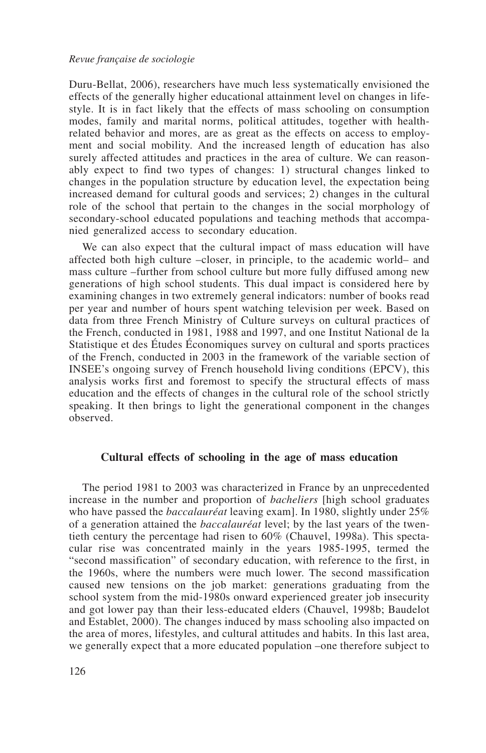Duru-Bellat, 2006), researchers have much less systematically envisioned the effects of the generally higher educational attainment level on changes in lifestyle. It is in fact likely that the effects of mass schooling on consumption modes, family and marital norms, political attitudes, together with healthrelated behavior and mores, are as great as the effects on access to employment and social mobility. And the increased length of education has also surely affected attitudes and practices in the area of culture. We can reasonably expect to find two types of changes: 1) structural changes linked to changes in the population structure by education level, the expectation being increased demand for cultural goods and services; 2) changes in the cultural role of the school that pertain to the changes in the social morphology of secondary-school educated populations and teaching methods that accompanied generalized access to secondary education.

We can also expect that the cultural impact of mass education will have affected both high culture –closer, in principle, to the academic world– and mass culture –further from school culture but more fully diffused among new generations of high school students. This dual impact is considered here by examining changes in two extremely general indicators: number of books read per year and number of hours spent watching television per week. Based on data from three French Ministry of Culture surveys on cultural practices of the French, conducted in 1981, 1988 and 1997, and one Institut National de la Statistique et des Études Économiques survey on cultural and sports practices of the French, conducted in 2003 in the framework of the variable section of INSEE's ongoing survey of French household living conditions (EPCV), this analysis works first and foremost to specify the structural effects of mass education and the effects of changes in the cultural role of the school strictly speaking. It then brings to light the generational component in the changes observed.

#### **Cultural effects of schooling in the age of mass education**

The period 1981 to 2003 was characterized in France by an unprecedented increase in the number and proportion of *bacheliers* [high school graduates who have passed the *baccalauréat* leaving exam]. In 1980, slightly under 25% of a generation attained the *baccalauréat* level; by the last years of the twentieth century the percentage had risen to 60% (Chauvel, 1998a). This spectacular rise was concentrated mainly in the years 1985-1995, termed the "second massification" of secondary education, with reference to the first, in the 1960s, where the numbers were much lower. The second massification caused new tensions on the job market: generations graduating from the school system from the mid-1980s onward experienced greater job insecurity and got lower pay than their less-educated elders (Chauvel, 1998b; Baudelot and Establet, 2000). The changes induced by mass schooling also impacted on the area of mores, lifestyles, and cultural attitudes and habits. In this last area, we generally expect that a more educated population –one therefore subject to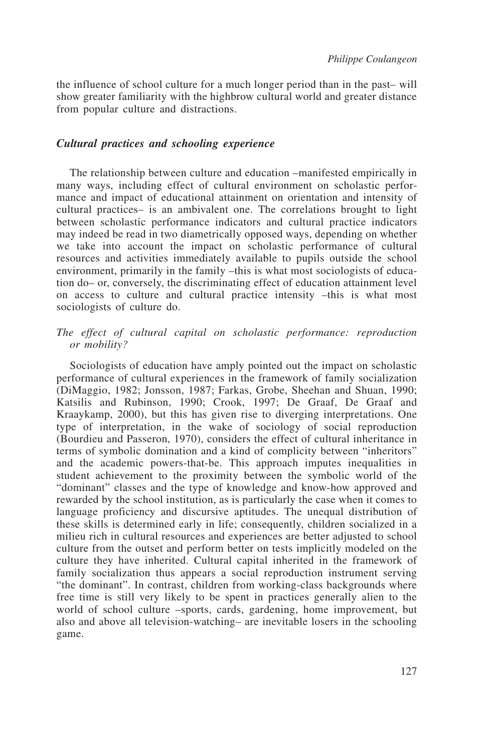the influence of school culture for a much longer period than in the past– will show greater familiarity with the highbrow cultural world and greater distance from popular culture and distractions.

#### *Cultural practices and schooling experience*

The relationship between culture and education –manifested empirically in many ways, including effect of cultural environment on scholastic performance and impact of educational attainment on orientation and intensity of cultural practices– is an ambivalent one. The correlations brought to light between scholastic performance indicators and cultural practice indicators may indeed be read in two diametrically opposed ways, depending on whether we take into account the impact on scholastic performance of cultural resources and activities immediately available to pupils outside the school environment, primarily in the family –this is what most sociologists of education do– or, conversely, the discriminating effect of education attainment level on access to culture and cultural practice intensity –this is what most sociologists of culture do.

#### *The effect of cultural capital on scholastic performance: reproduction or mobility?*

Sociologists of education have amply pointed out the impact on scholastic performance of cultural experiences in the framework of family socialization (DiMaggio, 1982; Jonsson, 1987; Farkas, Grobe, Sheehan and Shuan, 1990; Katsilis and Rubinson, 1990; Crook, 1997; De Graaf, De Graaf and Kraaykamp, 2000), but this has given rise to diverging interpretations. One type of interpretation, in the wake of sociology of social reproduction (Bourdieu and Passeron, 1970), considers the effect of cultural inheritance in terms of symbolic domination and a kind of complicity between "inheritors" and the academic powers-that-be. This approach imputes inequalities in student achievement to the proximity between the symbolic world of the "dominant" classes and the type of knowledge and know-how approved and rewarded by the school institution, as is particularly the case when it comes to language proficiency and discursive aptitudes. The unequal distribution of these skills is determined early in life; consequently, children socialized in a milieu rich in cultural resources and experiences are better adjusted to school culture from the outset and perform better on tests implicitly modeled on the culture they have inherited. Cultural capital inherited in the framework of family socialization thus appears a social reproduction instrument serving "the dominant". In contrast, children from working-class backgrounds where free time is still very likely to be spent in practices generally alien to the world of school culture –sports, cards, gardening, home improvement, but also and above all television-watching– are inevitable losers in the schooling game.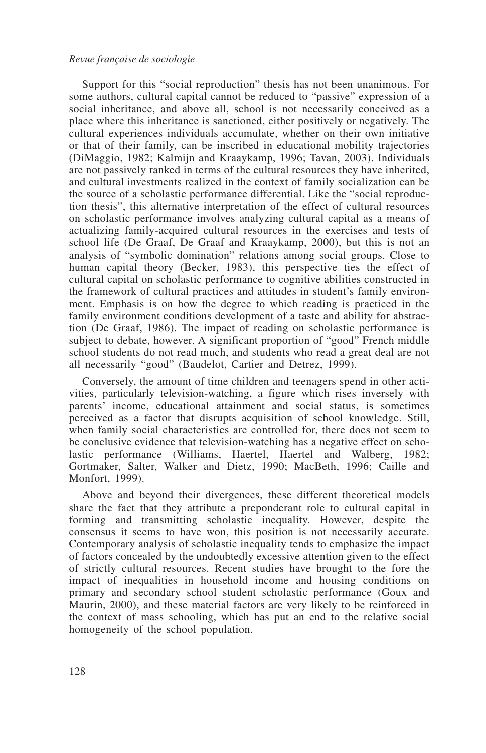Support for this "social reproduction" thesis has not been unanimous. For some authors, cultural capital cannot be reduced to "passive" expression of a social inheritance, and above all, school is not necessarily conceived as a place where this inheritance is sanctioned, either positively or negatively. The cultural experiences individuals accumulate, whether on their own initiative or that of their family, can be inscribed in educational mobility trajectories (DiMaggio, 1982; Kalmijn and Kraaykamp, 1996; Tavan, 2003). Individuals are not passively ranked in terms of the cultural resources they have inherited, and cultural investments realized in the context of family socialization can be the source of a scholastic performance differential. Like the "social reproduction thesis", this alternative interpretation of the effect of cultural resources on scholastic performance involves analyzing cultural capital as a means of actualizing family-acquired cultural resources in the exercises and tests of school life (De Graaf, De Graaf and Kraaykamp, 2000), but this is not an analysis of "symbolic domination" relations among social groups. Close to human capital theory (Becker, 1983), this perspective ties the effect of cultural capital on scholastic performance to cognitive abilities constructed in the framework of cultural practices and attitudes in student's family environment. Emphasis is on how the degree to which reading is practiced in the family environment conditions development of a taste and ability for abstraction (De Graaf, 1986). The impact of reading on scholastic performance is subject to debate, however. A significant proportion of "good" French middle school students do not read much, and students who read a great deal are not all necessarily "good" (Baudelot, Cartier and Detrez, 1999).

Conversely, the amount of time children and teenagers spend in other activities, particularly television-watching, a figure which rises inversely with parents' income, educational attainment and social status, is sometimes perceived as a factor that disrupts acquisition of school knowledge. Still, when family social characteristics are controlled for, there does not seem to be conclusive evidence that television-watching has a negative effect on scholastic performance (Williams, Haertel, Haertel and Walberg, 1982; Gortmaker, Salter, Walker and Dietz, 1990; MacBeth, 1996; Caille and Monfort, 1999).

Above and beyond their divergences, these different theoretical models share the fact that they attribute a preponderant role to cultural capital in forming and transmitting scholastic inequality. However, despite the consensus it seems to have won, this position is not necessarily accurate. Contemporary analysis of scholastic inequality tends to emphasize the impact of factors concealed by the undoubtedly excessive attention given to the effect of strictly cultural resources. Recent studies have brought to the fore the impact of inequalities in household income and housing conditions on primary and secondary school student scholastic performance (Goux and Maurin, 2000), and these material factors are very likely to be reinforced in the context of mass schooling, which has put an end to the relative social homogeneity of the school population.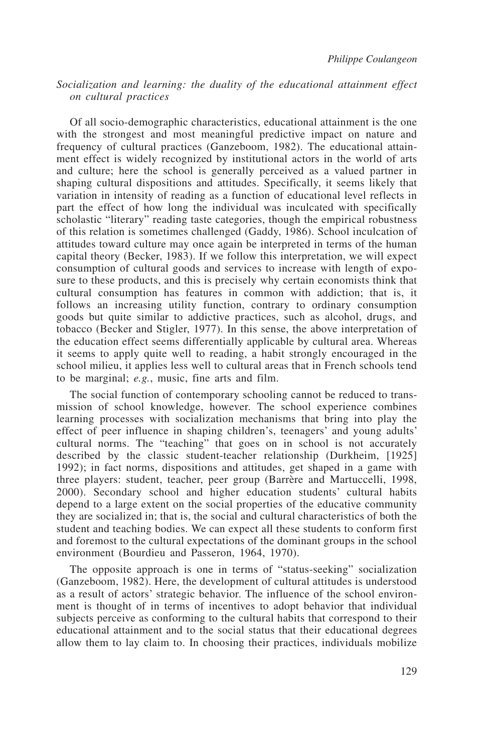#### *Socialization and learning: the duality of the educational attainment effect on cultural practices*

Of all socio-demographic characteristics, educational attainment is the one with the strongest and most meaningful predictive impact on nature and frequency of cultural practices (Ganzeboom, 1982). The educational attainment effect is widely recognized by institutional actors in the world of arts and culture; here the school is generally perceived as a valued partner in shaping cultural dispositions and attitudes. Specifically, it seems likely that variation in intensity of reading as a function of educational level reflects in part the effect of how long the individual was inculcated with specifically scholastic "literary" reading taste categories, though the empirical robustness of this relation is sometimes challenged (Gaddy, 1986). School inculcation of attitudes toward culture may once again be interpreted in terms of the human capital theory (Becker, 1983). If we follow this interpretation, we will expect consumption of cultural goods and services to increase with length of exposure to these products, and this is precisely why certain economists think that cultural consumption has features in common with addiction; that is, it follows an increasing utility function, contrary to ordinary consumption goods but quite similar to addictive practices, such as alcohol, drugs, and tobacco (Becker and Stigler, 1977). In this sense, the above interpretation of the education effect seems differentially applicable by cultural area. Whereas it seems to apply quite well to reading, a habit strongly encouraged in the school milieu, it applies less well to cultural areas that in French schools tend to be marginal; *e.g.*, music, fine arts and film.

The social function of contemporary schooling cannot be reduced to transmission of school knowledge, however. The school experience combines learning processes with socialization mechanisms that bring into play the effect of peer influence in shaping children's, teenagers' and young adults' cultural norms. The "teaching" that goes on in school is not accurately described by the classic student-teacher relationship (Durkheim, [1925] 1992); in fact norms, dispositions and attitudes, get shaped in a game with three players: student, teacher, peer group (Barrère and Martuccelli, 1998, 2000). Secondary school and higher education students' cultural habits depend to a large extent on the social properties of the educative community they are socialized in; that is, the social and cultural characteristics of both the student and teaching bodies. We can expect all these students to conform first and foremost to the cultural expectations of the dominant groups in the school environment (Bourdieu and Passeron, 1964, 1970).

The opposite approach is one in terms of "status-seeking" socialization (Ganzeboom, 1982). Here, the development of cultural attitudes is understood as a result of actors' strategic behavior. The influence of the school environment is thought of in terms of incentives to adopt behavior that individual subjects perceive as conforming to the cultural habits that correspond to their educational attainment and to the social status that their educational degrees allow them to lay claim to. In choosing their practices, individuals mobilize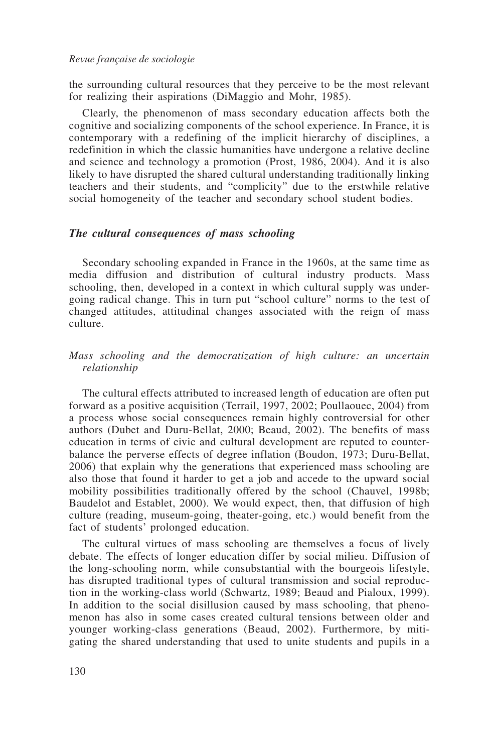the surrounding cultural resources that they perceive to be the most relevant for realizing their aspirations (DiMaggio and Mohr, 1985).

Clearly, the phenomenon of mass secondary education affects both the cognitive and socializing components of the school experience. In France, it is contemporary with a redefining of the implicit hierarchy of disciplines, a redefinition in which the classic humanities have undergone a relative decline and science and technology a promotion (Prost, 1986, 2004). And it is also likely to have disrupted the shared cultural understanding traditionally linking teachers and their students, and "complicity" due to the erstwhile relative social homogeneity of the teacher and secondary school student bodies.

#### *The cultural consequences of mass schooling*

Secondary schooling expanded in France in the 1960s, at the same time as media diffusion and distribution of cultural industry products. Mass schooling, then, developed in a context in which cultural supply was undergoing radical change. This in turn put "school culture" norms to the test of changed attitudes, attitudinal changes associated with the reign of mass culture.

#### *Mass schooling and the democratization of high culture: an uncertain relationship*

The cultural effects attributed to increased length of education are often put forward as a positive acquisition (Terrail, 1997, 2002; Poullaouec, 2004) from a process whose social consequences remain highly controversial for other authors (Dubet and Duru-Bellat, 2000; Beaud, 2002). The benefits of mass education in terms of civic and cultural development are reputed to counterbalance the perverse effects of degree inflation (Boudon, 1973; Duru-Bellat, 2006) that explain why the generations that experienced mass schooling are also those that found it harder to get a job and accede to the upward social mobility possibilities traditionally offered by the school (Chauvel, 1998b; Baudelot and Establet, 2000). We would expect, then, that diffusion of high culture (reading, museum-going, theater-going, etc.) would benefit from the fact of students' prolonged education.

The cultural virtues of mass schooling are themselves a focus of lively debate. The effects of longer education differ by social milieu. Diffusion of the long-schooling norm, while consubstantial with the bourgeois lifestyle, has disrupted traditional types of cultural transmission and social reproduction in the working-class world (Schwartz, 1989; Beaud and Pialoux, 1999). In addition to the social disillusion caused by mass schooling, that phenomenon has also in some cases created cultural tensions between older and younger working-class generations (Beaud, 2002). Furthermore, by mitigating the shared understanding that used to unite students and pupils in a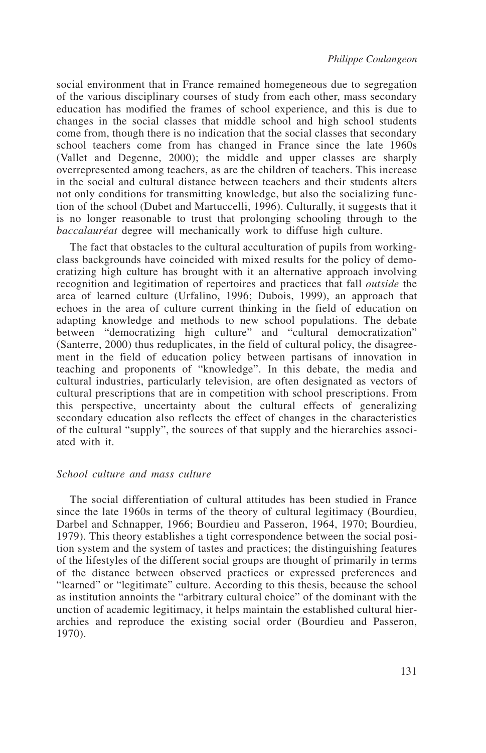social environment that in France remained homegeneous due to segregation of the various disciplinary courses of study from each other, mass secondary education has modified the frames of school experience, and this is due to changes in the social classes that middle school and high school students come from, though there is no indication that the social classes that secondary school teachers come from has changed in France since the late 1960s (Vallet and Degenne, 2000); the middle and upper classes are sharply overrepresented among teachers, as are the children of teachers. This increase in the social and cultural distance between teachers and their students alters not only conditions for transmitting knowledge, but also the socializing function of the school (Dubet and Martuccelli, 1996). Culturally, it suggests that it is no longer reasonable to trust that prolonging schooling through to the *baccalauréat* degree will mechanically work to diffuse high culture.

The fact that obstacles to the cultural acculturation of pupils from workingclass backgrounds have coincided with mixed results for the policy of democratizing high culture has brought with it an alternative approach involving recognition and legitimation of repertoires and practices that fall *outside* the area of learned culture (Urfalino, 1996; Dubois, 1999), an approach that echoes in the area of culture current thinking in the field of education on adapting knowledge and methods to new school populations. The debate between "democratizing high culture" and "cultural democratization" (Santerre, 2000) thus reduplicates, in the field of cultural policy, the disagreement in the field of education policy between partisans of innovation in teaching and proponents of "knowledge". In this debate, the media and cultural industries, particularly television, are often designated as vectors of cultural prescriptions that are in competition with school prescriptions. From this perspective, uncertainty about the cultural effects of generalizing secondary education also reflects the effect of changes in the characteristics of the cultural "supply", the sources of that supply and the hierarchies associated with it.

#### *School culture and mass culture*

The social differentiation of cultural attitudes has been studied in France since the late 1960s in terms of the theory of cultural legitimacy (Bourdieu, Darbel and Schnapper, 1966; Bourdieu and Passeron, 1964, 1970; Bourdieu, 1979). This theory establishes a tight correspondence between the social position system and the system of tastes and practices; the distinguishing features of the lifestyles of the different social groups are thought of primarily in terms of the distance between observed practices or expressed preferences and "learned" or "legitimate" culture. According to this thesis, because the school as institution annoints the "arbitrary cultural choice" of the dominant with the unction of academic legitimacy, it helps maintain the established cultural hierarchies and reproduce the existing social order (Bourdieu and Passeron, 1970).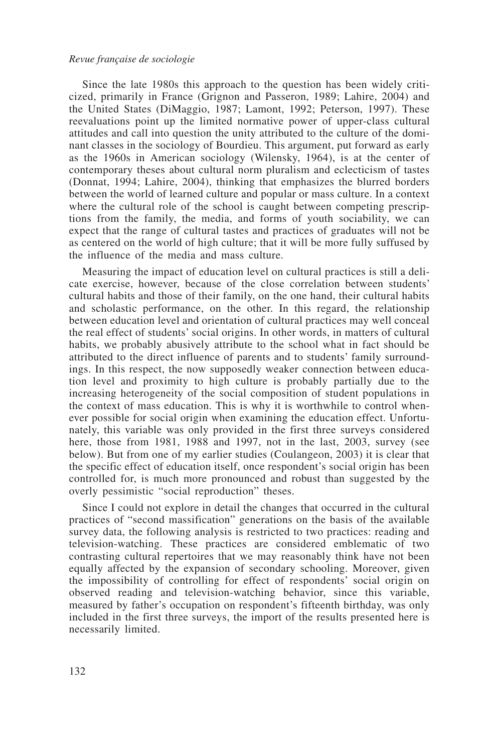Since the late 1980s this approach to the question has been widely criticized, primarily in France (Grignon and Passeron, 1989; Lahire, 2004) and the United States (DiMaggio, 1987; Lamont, 1992; Peterson, 1997). These reevaluations point up the limited normative power of upper-class cultural attitudes and call into question the unity attributed to the culture of the dominant classes in the sociology of Bourdieu. This argument, put forward as early as the 1960s in American sociology (Wilensky, 1964), is at the center of contemporary theses about cultural norm pluralism and eclecticism of tastes (Donnat, 1994; Lahire, 2004), thinking that emphasizes the blurred borders between the world of learned culture and popular or mass culture. In a context where the cultural role of the school is caught between competing prescriptions from the family, the media, and forms of youth sociability, we can expect that the range of cultural tastes and practices of graduates will not be as centered on the world of high culture; that it will be more fully suffused by the influence of the media and mass culture.

Measuring the impact of education level on cultural practices is still a delicate exercise, however, because of the close correlation between students' cultural habits and those of their family, on the one hand, their cultural habits and scholastic performance, on the other. In this regard, the relationship between education level and orientation of cultural practices may well conceal the real effect of students' social origins. In other words, in matters of cultural habits, we probably abusively attribute to the school what in fact should be attributed to the direct influence of parents and to students' family surroundings. In this respect, the now supposedly weaker connection between education level and proximity to high culture is probably partially due to the increasing heterogeneity of the social composition of student populations in the context of mass education. This is why it is worthwhile to control whenever possible for social origin when examining the education effect. Unfortunately, this variable was only provided in the first three surveys considered here, those from 1981, 1988 and 1997, not in the last, 2003, survey (see below). But from one of my earlier studies (Coulangeon, 2003) it is clear that the specific effect of education itself, once respondent's social origin has been controlled for, is much more pronounced and robust than suggested by the overly pessimistic "social reproduction" theses.

Since I could not explore in detail the changes that occurred in the cultural practices of "second massification" generations on the basis of the available survey data, the following analysis is restricted to two practices: reading and television-watching. These practices are considered emblematic of two contrasting cultural repertoires that we may reasonably think have not been equally affected by the expansion of secondary schooling. Moreover, given the impossibility of controlling for effect of respondents' social origin on observed reading and television-watching behavior, since this variable, measured by father's occupation on respondent's fifteenth birthday, was only included in the first three surveys, the import of the results presented here is necessarily limited.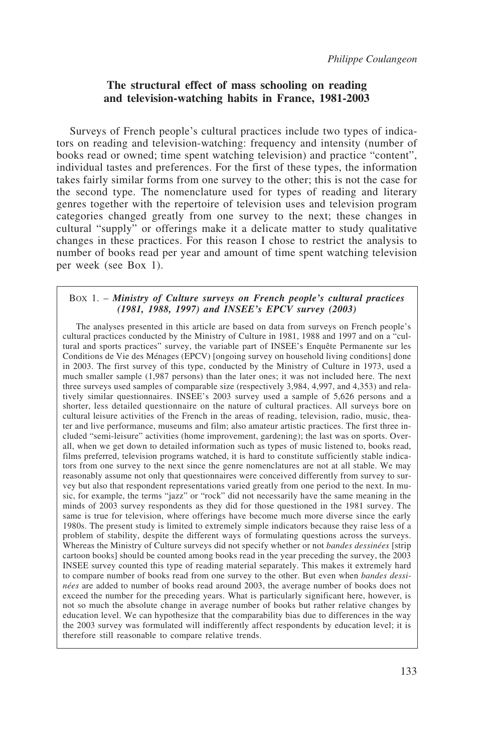#### **The structural effect of mass schooling on reading and television-watching habits in France, 1981-2003**

Surveys of French people's cultural practices include two types of indicators on reading and television-watching: frequency and intensity (number of books read or owned; time spent watching television) and practice "content", individual tastes and preferences. For the first of these types, the information takes fairly similar forms from one survey to the other; this is not the case for the second type. The nomenclature used for types of reading and literary genres together with the repertoire of television uses and television program categories changed greatly from one survey to the next; these changes in cultural "supply" or offerings make it a delicate matter to study qualitative changes in these practices. For this reason I chose to restrict the analysis to number of books read per year and amount of time spent watching television per week (see Box 1).

#### BOX 1. – *Ministry of Culture surveys on French people's cultural practices (1981, 1988, 1997) and INSEE's EPCV survey (2003)*

The analyses presented in this article are based on data from surveys on French people's cultural practices conducted by the Ministry of Culture in 1981, 1988 and 1997 and on a "cultural and sports practices" survey, the variable part of INSEE's Enquête Permanente sur les Conditions de Vie des Ménages (EPCV) [ongoing survey on household living conditions] done in 2003. The first survey of this type, conducted by the Ministry of Culture in 1973, used a much smaller sample (1,987 persons) than the later ones; it was not included here. The next three surveys used samples of comparable size (respectively 3,984, 4,997, and 4,353) and relatively similar questionnaires. INSEE's 2003 survey used a sample of 5,626 persons and a shorter, less detailed questionnaire on the nature of cultural practices. All surveys bore on cultural leisure activities of the French in the areas of reading, television, radio, music, theater and live performance, museums and film; also amateur artistic practices. The first three included "semi-leisure" activities (home improvement, gardening); the last was on sports. Overall, when we get down to detailed information such as types of music listened to, books read, films preferred, television programs watched, it is hard to constitute sufficiently stable indicators from one survey to the next since the genre nomenclatures are not at all stable. We may reasonably assume not only that questionnaires were conceived differently from survey to survey but also that respondent representations varied greatly from one period to the next. In music, for example, the terms "jazz" or "rock" did not necessarily have the same meaning in the minds of 2003 survey respondents as they did for those questioned in the 1981 survey. The same is true for television, where offerings have become much more diverse since the early 1980s. The present study is limited to extremely simple indicators because they raise less of a problem of stability, despite the different ways of formulating questions across the surveys. Whereas the Ministry of Culture surveys did not specify whether or not *bandes dessinées* [strip cartoon books] should be counted among books read in the year preceding the survey, the 2003 INSEE survey counted this type of reading material separately. This makes it extremely hard to compare number of books read from one survey to the other. But even when *bandes dessinées* are added to number of books read around 2003, the average number of books does not exceed the number for the preceding years. What is particularly significant here, however, is not so much the absolute change in average number of books but rather relative changes by education level. We can hypothesize that the comparability bias due to differences in the way the 2003 survey was formulated will indifferently affect respondents by education level; it is therefore still reasonable to compare relative trends.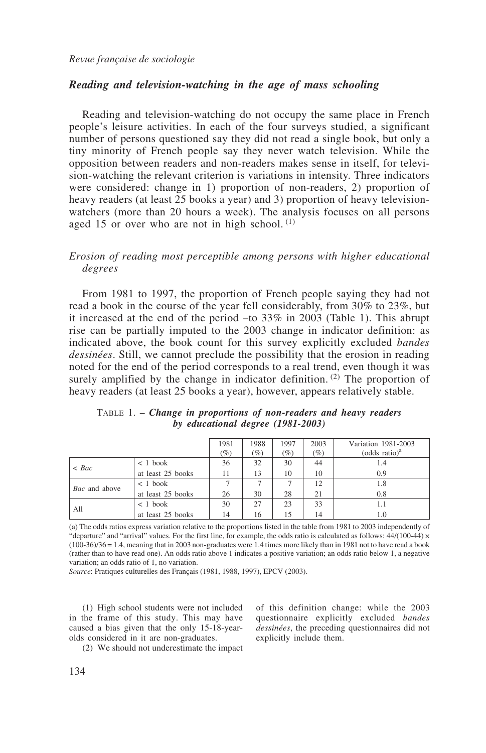#### *Reading and television-watching in the age of mass schooling*

Reading and television-watching do not occupy the same place in French people's leisure activities. In each of the four surveys studied, a significant number of persons questioned say they did not read a single book, but only a tiny minority of French people say they never watch television. While the opposition between readers and non-readers makes sense in itself, for television-watching the relevant criterion is variations in intensity. Three indicators were considered: change in 1) proportion of non-readers, 2) proportion of heavy readers (at least 25 books a year) and 3) proportion of heavy televisionwatchers (more than 20 hours a week). The analysis focuses on all persons aged 15 or over who are not in high school.  $(1)$ 

#### *Erosion of reading most perceptible among persons with higher educational degrees*

From 1981 to 1997, the proportion of French people saying they had not read a book in the course of the year fell considerably, from 30% to 23%, but it increased at the end of the period –to 33% in 2003 (Table 1). This abrupt rise can be partially imputed to the 2003 change in indicator definition: as indicated above, the book count for this survey explicitly excluded *bandes dessinées*. Still, we cannot preclude the possibility that the erosion in reading noted for the end of the period corresponds to a real trend, even though it was surely amplified by the change in indicator definition.<sup>(2)</sup> The proportion of heavy readers (at least 25 books a year), however, appears relatively stable.

|                      |                   | 1981<br>$(\%)$ | 1988<br>$(\%)$ | 1997<br>$(\%)$ | 2003<br>$(\%)$ | Variation 1981-2003<br>(odds ratio) <sup>a</sup> |
|----------------------|-------------------|----------------|----------------|----------------|----------------|--------------------------------------------------|
| $\langle$ Bac        | $< 1$ book        | 36             | 32             | 30             | 44             | 1.4                                              |
|                      | at least 25 books | 11             | 13             | 10             | 10             | 0.9                                              |
|                      | $< 1$ book        |                |                |                | 12             | 1.8                                              |
| <i>Bac</i> and above | at least 25 books | 26             | 30             | 28             | 21             | 0.8                                              |
| All                  | $< 1$ book        | 30             | 27             | 23             | 33             |                                                  |
|                      | at least 25 books | 14             | 16             | 15             | 14             | 1.0                                              |

TABLE 1. – *Change in proportions of non-readers and heavy readers by educational degree (1981-2003)*

(a) The odds ratios express variation relative to the proportions listed in the table from 1981 to 2003 independently of "departure" and "arrival" values. For the first line, for example, the odds ratio is calculated as follows: 44/(100-44) ×  $(100-36)/36 = 1.4$ , meaning that in 2003 non-graduates were 1.4 times more likely than in 1981 not to have read a book (rather than to have read one). An odds ratio above 1 indicates a positive variation; an odds ratio below 1, a negative variation; an odds ratio of 1, no variation.

*Source*: Pratiques culturelles des Français (1981, 1988, 1997), EPCV (2003).

(1) High school students were not included in the frame of this study. This may have caused a bias given that the only 15-18-yearolds considered in it are non-graduates.

(2) We should not underestimate the impact

of this definition change: while the 2003 questionnaire explicitly excluded *bandes dessinées*, the preceding questionnaires did not explicitly include them.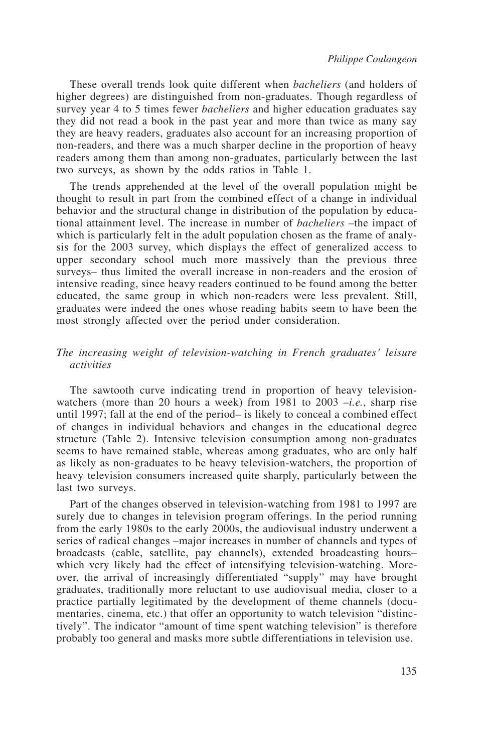These overall trends look quite different when *bacheliers* (and holders of higher degrees) are distinguished from non-graduates. Though regardless of survey year 4 to 5 times fewer *bacheliers* and higher education graduates say they did not read a book in the past year and more than twice as many say they are heavy readers, graduates also account for an increasing proportion of non-readers, and there was a much sharper decline in the proportion of heavy readers among them than among non-graduates, particularly between the last two surveys, as shown by the odds ratios in Table 1.

The trends apprehended at the level of the overall population might be thought to result in part from the combined effect of a change in individual behavior and the structural change in distribution of the population by educational attainment level. The increase in number of *bacheliers* –the impact of which is particularly felt in the adult population chosen as the frame of analysis for the 2003 survey, which displays the effect of generalized access to upper secondary school much more massively than the previous three surveys– thus limited the overall increase in non-readers and the erosion of intensive reading, since heavy readers continued to be found among the better educated, the same group in which non-readers were less prevalent. Still, graduates were indeed the ones whose reading habits seem to have been the most strongly affected over the period under consideration.

#### *The increasing weight of television-watching in French graduates' leisure activities*

The sawtooth curve indicating trend in proportion of heavy televisionwatchers (more than 20 hours a week) from 1981 to 2003 –*i.e.*, sharp rise until 1997; fall at the end of the period– is likely to conceal a combined effect of changes in individual behaviors and changes in the educational degree structure (Table 2). Intensive television consumption among non-graduates seems to have remained stable, whereas among graduates, who are only half as likely as non-graduates to be heavy television-watchers, the proportion of heavy television consumers increased quite sharply, particularly between the last two surveys.

Part of the changes observed in television-watching from 1981 to 1997 are surely due to changes in television program offerings. In the period running from the early 1980s to the early 2000s, the audiovisual industry underwent a series of radical changes –major increases in number of channels and types of broadcasts (cable, satellite, pay channels), extended broadcasting hours– which very likely had the effect of intensifying television-watching. Moreover, the arrival of increasingly differentiated "supply" may have brought graduates, traditionally more reluctant to use audiovisual media, closer to a practice partially legitimated by the development of theme channels (documentaries, cinema, etc.) that offer an opportunity to watch television "distinctively". The indicator "amount of time spent watching television" is therefore probably too general and masks more subtle differentiations in television use.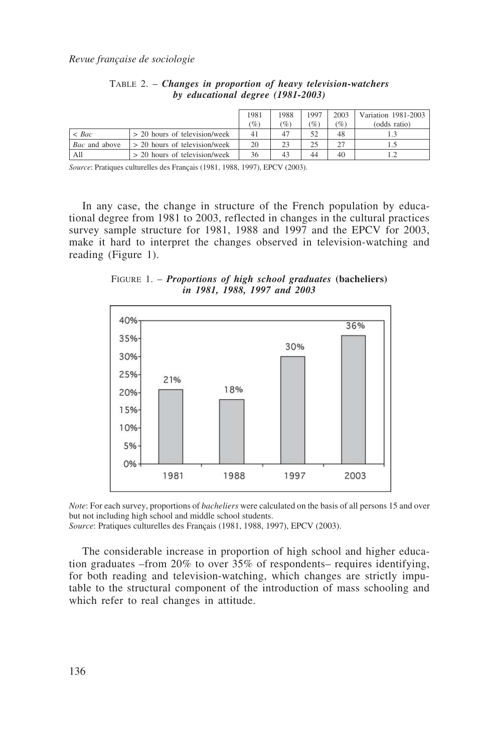|                      |                                 | 1981<br>$(\%)$ | 1988<br>$\mathscr{C}_o$ | 1997<br>(%) | 2003<br>$\mathscr{G}_o$ | Variation 1981-2003<br>(odds ratio) |
|----------------------|---------------------------------|----------------|-------------------------|-------------|-------------------------|-------------------------------------|
| $\langle$ Bac        | > 20 hours of television/week   | 41             |                         |             | 48                      |                                     |
| <i>Bac</i> and above | $> 20$ hours of television/week | 20             |                         |             |                         |                                     |
| All                  | > 20 hours of television/week   | 36             |                         | 44          | 40                      |                                     |

TABLE 2. – *Changes in proportion of heavy television-watchers by educational degree (1981-2003)*

*Source*: Pratiques culturelles des Français (1981, 1988, 1997), EPCV (2003).

In any case, the change in structure of the French population by educational degree from 1981 to 2003, reflected in changes in the cultural practices survey sample structure for 1981, 1988 and 1997 and the EPCV for 2003, make it hard to interpret the changes observed in television-watching and reading (Figure 1).

FIGURE 1. – *Proportions of high school graduates* **(bacheliers)** *in 1981, 1988, 1997 and 2003*



*Note*: For each survey, proportions of *bacheliers* were calculated on the basis of all persons 15 and over but not including high school and middle school students.

*Source*: Pratiques culturelles des Français (1981, 1988, 1997), EPCV (2003).

The considerable increase in proportion of high school and higher education graduates –from 20% to over 35% of respondents– requires identifying, for both reading and television-watching, which changes are strictly imputable to the structural component of the introduction of mass schooling and which refer to real changes in attitude.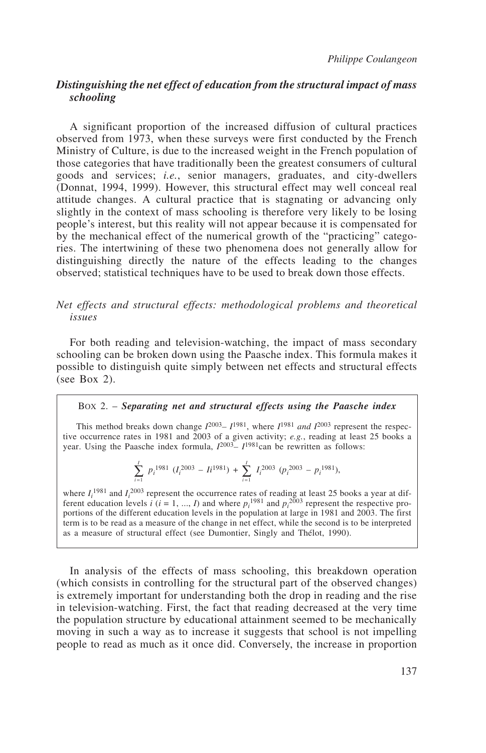#### *Distinguishing the net effect of education from the structural impact of mass schooling*

A significant proportion of the increased diffusion of cultural practices observed from 1973, when these surveys were first conducted by the French Ministry of Culture, is due to the increased weight in the French population of those categories that have traditionally been the greatest consumers of cultural goods and services; *i.e.*, senior managers, graduates, and city-dwellers (Donnat, 1994, 1999). However, this structural effect may well conceal real attitude changes. A cultural practice that is stagnating or advancing only slightly in the context of mass schooling is therefore very likely to be losing people's interest, but this reality will not appear because it is compensated for by the mechanical effect of the numerical growth of the "practicing" categories. The intertwining of these two phenomena does not generally allow for distinguishing directly the nature of the effects leading to the changes observed; statistical techniques have to be used to break down those effects.

#### *Net effects and structural effects: methodological problems and theoretical issues*

For both reading and television-watching, the impact of mass secondary schooling can be broken down using the Paasche index. This formula makes it possible to distinguish quite simply between net effects and structural effects (see Box 2).

#### BOX 2. – *Separating net and structural effects using the Paasche index*

This method breaks down change  $I^{2003} - I^{1981}$ , where  $I^{1981}$  *and*  $I^{2003}$  represent the respective occurrence rates in 1981 and 2003 of a given activity; *e.g.*, reading at least 25 books a year. Using the Paasche index formula,  $I^{2003} - I^{1981}$ can be rewritten as follows:

$$
\sum_{i=1}^{I} p_i^{1981} (I_i^{2003} - I_i^{1981}) + \sum_{i=1}^{I} I_i^{2003} (p_i^{2003} - p_i^{1981}),
$$

*i*

where  $I_i^{1981}$  and  $I_i^{2003}$  represent the occurrence rates of reading at least 25 books a year at different education levels *i* ( $i = 1, ..., I$ ) and where  $p_i^{1981}$  and  $p_i^{2003}$  represent the respective proportions of the different education levels in the population at large in 1981 and 2003. The first term is to be read as a measure of the change in net effect, while the second is to be interpreted as a measure of structural effect (see Dumontier, Singly and Thélot, 1990).

In analysis of the effects of mass schooling, this breakdown operation (which consists in controlling for the structural part of the observed changes) is extremely important for understanding both the drop in reading and the rise in television-watching. First, the fact that reading decreased at the very time the population structure by educational attainment seemed to be mechanically moving in such a way as to increase it suggests that school is not impelling people to read as much as it once did. Conversely, the increase in proportion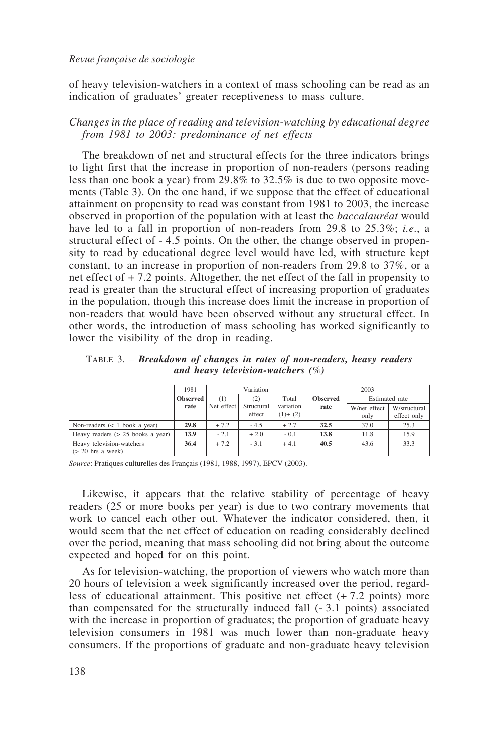of heavy television-watchers in a context of mass schooling can be read as an indication of graduates' greater receptiveness to mass culture.

#### *Changes in the place of reading and television-watching by educational degree from 1981 to 2003: predominance of net effects*

The breakdown of net and structural effects for the three indicators brings to light first that the increase in proportion of non-readers (persons reading less than one book a year) from 29.8% to 32.5% is due to two opposite movements (Table 3). On the one hand, if we suppose that the effect of educational attainment on propensity to read was constant from 1981 to 2003, the increase observed in proportion of the population with at least the *baccalauréat* would have led to a fall in proportion of non-readers from 29.8 to 25.3%; *i.e*., a structural effect of - 4.5 points. On the other, the change observed in propensity to read by educational degree level would have led, with structure kept constant, to an increase in proportion of non-readers from 29.8 to 37%, or a net effect of + 7.2 points. Altogether, the net effect of the fall in propensity to read is greater than the structural effect of increasing proportion of graduates in the population, though this increase does limit the increase in proportion of non-readers that would have been observed without any structural effect. In other words, the introduction of mass schooling has worked significantly to lower the visibility of the drop in reading.

TABLE 3. – *Breakdown of changes in rates of non-readers, heavy readers and heavy television-watchers (*%*)*

|                                     | 1981            |            | Variation  |             |                 | 2003         |                |
|-------------------------------------|-----------------|------------|------------|-------------|-----------------|--------------|----------------|
|                                     | <b>Observed</b> | (1)        | (2)        | Total       | <b>Observed</b> |              | Estimated rate |
|                                     | rate            | Net effect | Structural | variation   | rate            | W/net effect | W/structural   |
|                                     |                 |            | effect     | $(1) + (2)$ |                 | only         | effect only    |
| Non-readers $(< 1$ book a year)     | 29.8            | $+7.2$     | $-4.5$     | $+2.7$      | 32.5            | 37.0         | 25.3           |
| Heavy readers $(> 25$ books a year) | 13.9            | $-2.1$     | $+2.0$     | $-0.1$      | 13.8            | 11.8         | 15.9           |
| Heavy television-watchers           | 36.4            | $+7.2$     | $-3.1$     | $+4.1$      | 40.5            | 43.6         | 33.3           |
| $\approx 20$ hrs a week)            |                 |            |            |             |                 |              |                |

*Source*: Pratiques culturelles des Français (1981, 1988, 1997), EPCV (2003).

Likewise, it appears that the relative stability of percentage of heavy readers (25 or more books per year) is due to two contrary movements that work to cancel each other out. Whatever the indicator considered, then, it would seem that the net effect of education on reading considerably declined over the period, meaning that mass schooling did not bring about the outcome expected and hoped for on this point.

As for television-watching, the proportion of viewers who watch more than 20 hours of television a week significantly increased over the period, regardless of educational attainment. This positive net effect  $(+ 7.2 \text{ points})$  more than compensated for the structurally induced fall (- 3.1 points) associated with the increase in proportion of graduates; the proportion of graduate heavy television consumers in 1981 was much lower than non-graduate heavy consumers. If the proportions of graduate and non-graduate heavy television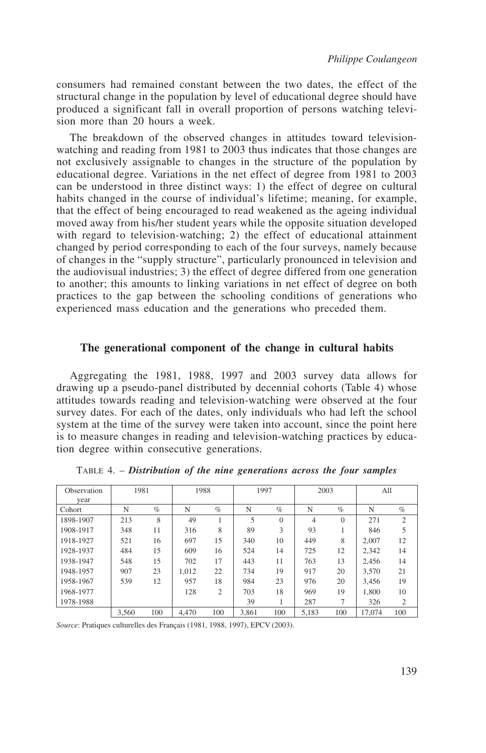consumers had remained constant between the two dates, the effect of the structural change in the population by level of educational degree should have produced a significant fall in overall proportion of persons watching television more than 20 hours a week.

The breakdown of the observed changes in attitudes toward televisionwatching and reading from 1981 to 2003 thus indicates that those changes are not exclusively assignable to changes in the structure of the population by educational degree. Variations in the net effect of degree from 1981 to 2003 can be understood in three distinct ways: 1) the effect of degree on cultural habits changed in the course of individual's lifetime; meaning, for example, that the effect of being encouraged to read weakened as the ageing individual moved away from his/her student years while the opposite situation developed with regard to television-watching; 2) the effect of educational attainment changed by period corresponding to each of the four surveys, namely because of changes in the "supply structure", particularly pronounced in television and the audiovisual industries; 3) the effect of degree differed from one generation to another; this amounts to linking variations in net effect of degree on both practices to the gap between the schooling conditions of generations who experienced mass education and the generations who preceded them.

#### **The generational component of the change in cultural habits**

Aggregating the 1981, 1988, 1997 and 2003 survey data allows for drawing up a pseudo-panel distributed by decennial cohorts (Table 4) whose attitudes towards reading and television-watching were observed at the four survey dates. For each of the dates, only individuals who had left the school system at the time of the survey were taken into account, since the point here is to measure changes in reading and television-watching practices by education degree within consecutive generations.

| Observation | 1981  |      | 1988  |      | 1997  |          | 2003  |          | All    |                |
|-------------|-------|------|-------|------|-------|----------|-------|----------|--------|----------------|
| vear        |       |      |       |      |       |          |       |          |        |                |
| Cohort      | N     | $\%$ | N     | $\%$ | N     | $\%$     | N     | $\%$     | N      | $\%$           |
| 1898-1907   | 213   | 8    | 49    |      | 5     | $\Omega$ | 4     | $\Omega$ | 271    | $\overline{2}$ |
| 1908-1917   | 348   | 11   | 316   | 8    | 89    | 3        | 93    |          | 846    | 5              |
| 1918-1927   | 521   | 16   | 697   | 15   | 340   | 10       | 449   | 8        | 2.007  | 12             |
| 1928-1937   | 484   | 15   | 609   | 16   | 524   | 14       | 725   | 12       | 2.342  | 14             |
| 1938-1947   | 548   | 15   | 702   | 17   | 443   | 11       | 763   | 13       | 2.456  | 14             |
| 1948-1957   | 907   | 23   | 1.012 | 22   | 734   | 19       | 917   | 20       | 3.570  | 21             |
| 1958-1967   | 539   | 12   | 957   | 18   | 984   | 23       | 976   | 20       | 3.456  | 19             |
| 1968-1977   |       |      | 128   | 2    | 703   | 18       | 969   | 19       | 1.800  | 10             |
| 1978-1988   |       |      |       |      | 39    |          | 287   | 7        | 326    | 2              |
|             | 3,560 | 100  | 4.470 | 100  | 3.861 | 100      | 5.183 | 100      | 17.074 | 100            |

TABLE 4. – *Distribution of the nine generations across the four samples*

*Source*: Pratiques culturelles des Français (1981, 1988, 1997), EPCV (2003).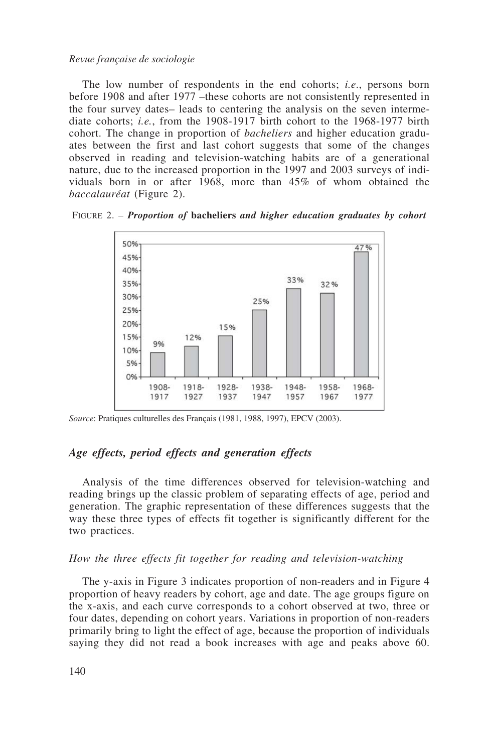The low number of respondents in the end cohorts; *i.e*., persons born before 1908 and after 1977 –these cohorts are not consistently represented in the four survey dates– leads to centering the analysis on the seven intermediate cohorts; *i.e.*, from the 1908-1917 birth cohort to the 1968-1977 birth cohort. The change in proportion of *bacheliers* and higher education graduates between the first and last cohort suggests that some of the changes observed in reading and television-watching habits are of a generational nature, due to the increased proportion in the 1997 and 2003 surveys of individuals born in or after 1968, more than 45% of whom obtained the *baccalauréat* (Figure 2).





*Source*: Pratiques culturelles des Français (1981, 1988, 1997), EPCV (2003).

#### *Age effects, period effects and generation effects*

Analysis of the time differences observed for television-watching and reading brings up the classic problem of separating effects of age, period and generation. The graphic representation of these differences suggests that the way these three types of effects fit together is significantly different for the two practices.

#### *How the three effects fit together for reading and television-watching*

The y-axis in Figure 3 indicates proportion of non-readers and in Figure 4 proportion of heavy readers by cohort, age and date. The age groups figure on the x-axis, and each curve corresponds to a cohort observed at two, three or four dates, depending on cohort years. Variations in proportion of non-readers primarily bring to light the effect of age, because the proportion of individuals saying they did not read a book increases with age and peaks above 60.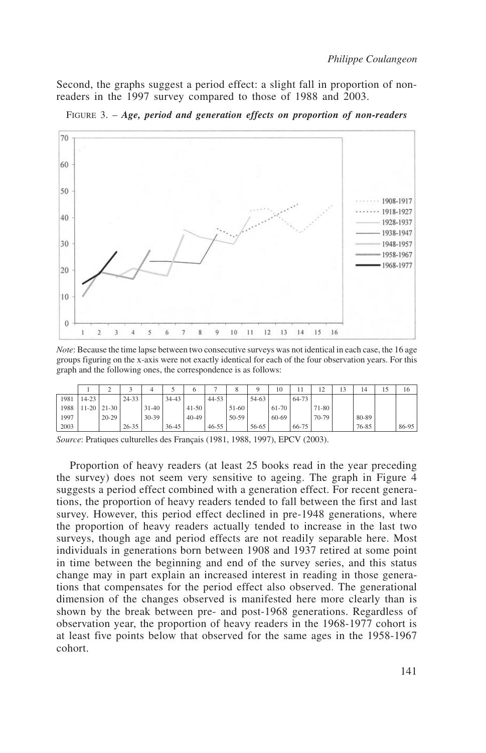Second, the graphs suggest a period effect: a slight fall in proportion of nonreaders in the 1997 survey compared to those of 1988 and 2003.



FIGURE 3. – *Age, period and generation effects on proportion of non-readers*

*Note*: Because the time lapse between two consecutive surveys was not identical in each case, the 16 age groups figuring on the x-axis were not exactly identical for each of the four observation years. For this graph and the following ones, the correspondence is as follows:

|      |               |           |           |           |           |           |           |       |       | 10    |       | $\sim$<br>$\overline{1}$ | 14    | 15 | 16    |
|------|---------------|-----------|-----------|-----------|-----------|-----------|-----------|-------|-------|-------|-------|--------------------------|-------|----|-------|
| 1981 | $14 - 23$     |           | $24 - 33$ |           | $34 - 43$ |           | $44 - 53$ |       | 54-63 |       | 64-73 |                          |       |    |       |
| 1988 | $11-20$ 21-30 |           |           | $31 - 40$ |           | $41 - 50$ |           | 51-60 |       | 61-70 |       | 71-80                    |       |    |       |
| 1997 |               | $20 - 29$ |           | $30-39$   |           | $40 - 49$ |           | 50-59 |       | 60-69 |       | 70-79                    | 80-89 |    |       |
| 2003 |               |           | $26 - 35$ |           | $36 - 45$ |           | $46 - 55$ |       | 56-65 |       | 66-75 |                          | 76-85 |    | 86-95 |

*Source*: Pratiques culturelles des Français (1981, 1988, 1997), EPCV (2003).

Proportion of heavy readers (at least 25 books read in the year preceding the survey) does not seem very sensitive to ageing. The graph in Figure 4 suggests a period effect combined with a generation effect. For recent generations, the proportion of heavy readers tended to fall between the first and last survey. However, this period effect declined in pre-1948 generations, where the proportion of heavy readers actually tended to increase in the last two surveys, though age and period effects are not readily separable here. Most individuals in generations born between 1908 and 1937 retired at some point in time between the beginning and end of the survey series, and this status change may in part explain an increased interest in reading in those generations that compensates for the period effect also observed. The generational dimension of the changes observed is manifested here more clearly than is shown by the break between pre- and post-1968 generations. Regardless of observation year, the proportion of heavy readers in the 1968-1977 cohort is at least five points below that observed for the same ages in the 1958-1967 cohort.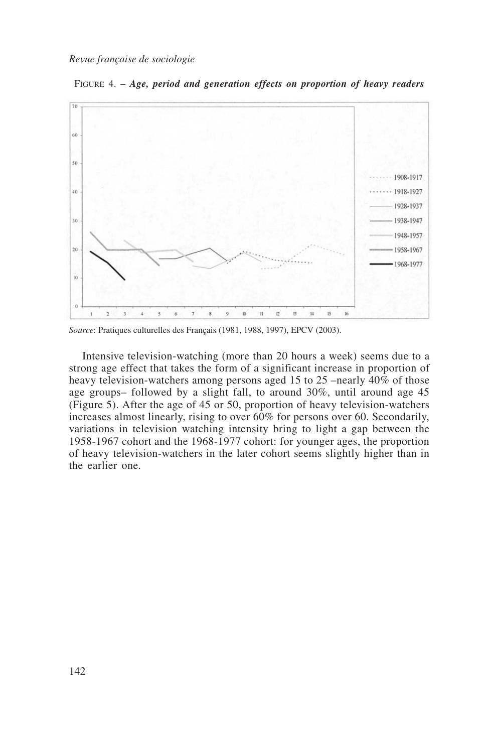



*Source*: Pratiques culturelles des Français (1981, 1988, 1997), EPCV (2003).

Intensive television-watching (more than 20 hours a week) seems due to a strong age effect that takes the form of a significant increase in proportion of heavy television-watchers among persons aged 15 to 25 –nearly 40% of those age groups– followed by a slight fall, to around 30%, until around age 45 (Figure 5). After the age of 45 or 50, proportion of heavy television-watchers increases almost linearly, rising to over 60% for persons over 60. Secondarily, variations in television watching intensity bring to light a gap between the 1958-1967 cohort and the 1968-1977 cohort: for younger ages, the proportion of heavy television-watchers in the later cohort seems slightly higher than in the earlier one.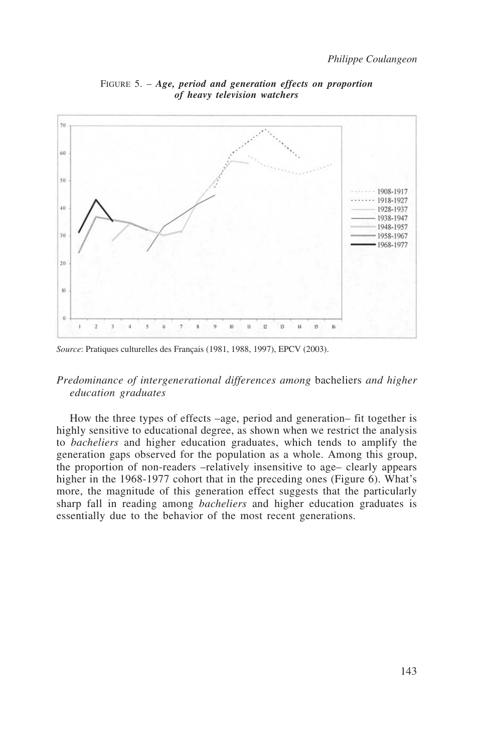

FIGURE 5. – *Age, period and generation effects on proportion of heavy television watchers*

*Source*: Pratiques culturelles des Français (1981, 1988, 1997), EPCV (2003).

#### *Predominance of intergenerational differences among* bacheliers *and higher education graduates*

How the three types of effects –age, period and generation– fit together is highly sensitive to educational degree, as shown when we restrict the analysis to *bacheliers* and higher education graduates, which tends to amplify the generation gaps observed for the population as a whole. Among this group, the proportion of non-readers –relatively insensitive to age– clearly appears higher in the 1968-1977 cohort that in the preceding ones (Figure 6). What's more, the magnitude of this generation effect suggests that the particularly sharp fall in reading among *bacheliers* and higher education graduates is essentially due to the behavior of the most recent generations.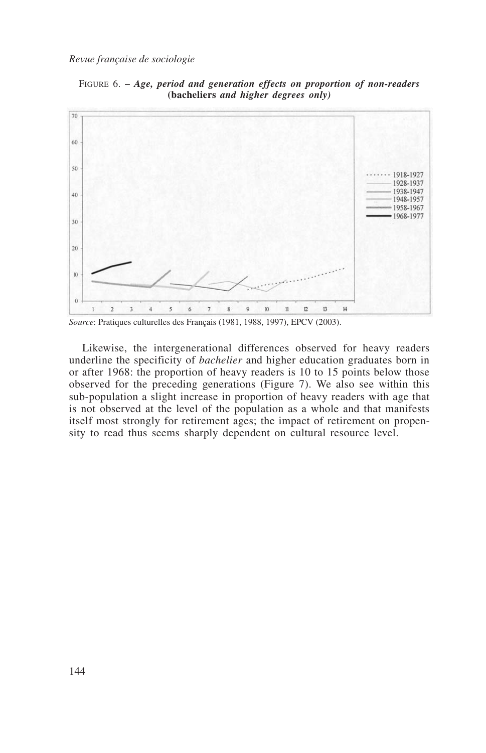

FIGURE 6. – *Age, period and generation effects on proportion of non-readers* **(bacheliers** *and higher degrees only)*

*Source*: Pratiques culturelles des Français (1981, 1988, 1997), EPCV (2003).

Likewise, the intergenerational differences observed for heavy readers underline the specificity of *bachelier* and higher education graduates born in or after 1968: the proportion of heavy readers is 10 to 15 points below those observed for the preceding generations (Figure 7). We also see within this sub-population a slight increase in proportion of heavy readers with age that is not observed at the level of the population as a whole and that manifests itself most strongly for retirement ages; the impact of retirement on propensity to read thus seems sharply dependent on cultural resource level.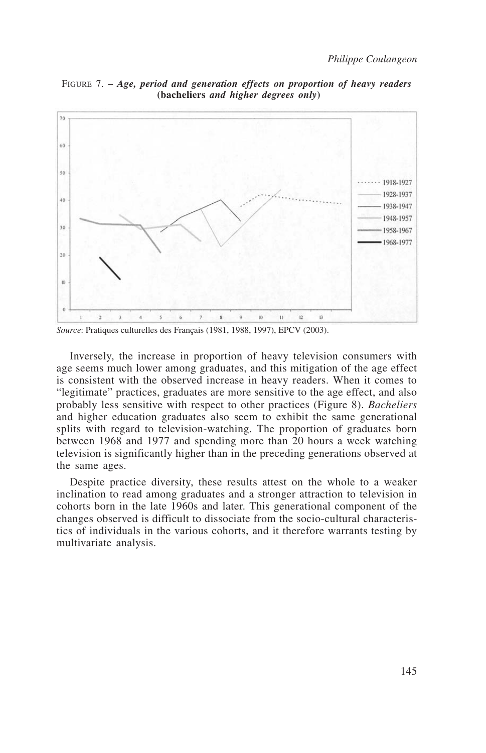

FIGURE 7. – *Age, period and generation effects on proportion of heavy readers* **(bacheliers** *and higher degrees only***)**

Inversely, the increase in proportion of heavy television consumers with age seems much lower among graduates, and this mitigation of the age effect is consistent with the observed increase in heavy readers. When it comes to "legitimate" practices, graduates are more sensitive to the age effect, and also probably less sensitive with respect to other practices (Figure 8). *Bacheliers* and higher education graduates also seem to exhibit the same generational splits with regard to television-watching. The proportion of graduates born between 1968 and 1977 and spending more than 20 hours a week watching television is significantly higher than in the preceding generations observed at the same ages.

Despite practice diversity, these results attest on the whole to a weaker inclination to read among graduates and a stronger attraction to television in cohorts born in the late 1960s and later. This generational component of the changes observed is difficult to dissociate from the socio-cultural characteristics of individuals in the various cohorts, and it therefore warrants testing by multivariate analysis.

*Source*: Pratiques culturelles des Français (1981, 1988, 1997), EPCV (2003).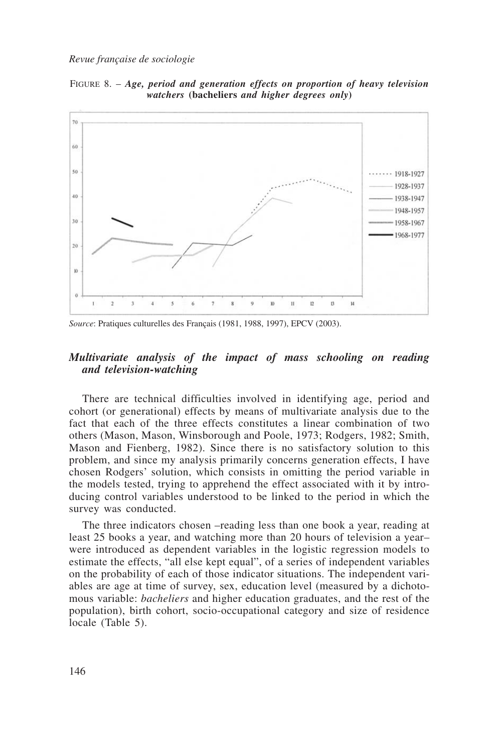FIGURE 8. – *Age, period and generation effects on proportion of heavy television watchers* **(bacheliers** *and higher degrees only***)**



*Source*: Pratiques culturelles des Français (1981, 1988, 1997), EPCV (2003).

#### *Multivariate analysis of the impact of mass schooling on reading and television-watching*

There are technical difficulties involved in identifying age, period and cohort (or generational) effects by means of multivariate analysis due to the fact that each of the three effects constitutes a linear combination of two others (Mason, Mason, Winsborough and Poole, 1973; Rodgers, 1982; Smith, Mason and Fienberg, 1982). Since there is no satisfactory solution to this problem, and since my analysis primarily concerns generation effects, I have chosen Rodgers' solution, which consists in omitting the period variable in the models tested, trying to apprehend the effect associated with it by introducing control variables understood to be linked to the period in which the survey was conducted.

The three indicators chosen –reading less than one book a year, reading at least 25 books a year, and watching more than 20 hours of television a year– were introduced as dependent variables in the logistic regression models to estimate the effects, "all else kept equal", of a series of independent variables on the probability of each of those indicator situations. The independent variables are age at time of survey, sex, education level (measured by a dichotomous variable: *bacheliers* and higher education graduates, and the rest of the population), birth cohort, socio-occupational category and size of residence locale (Table 5).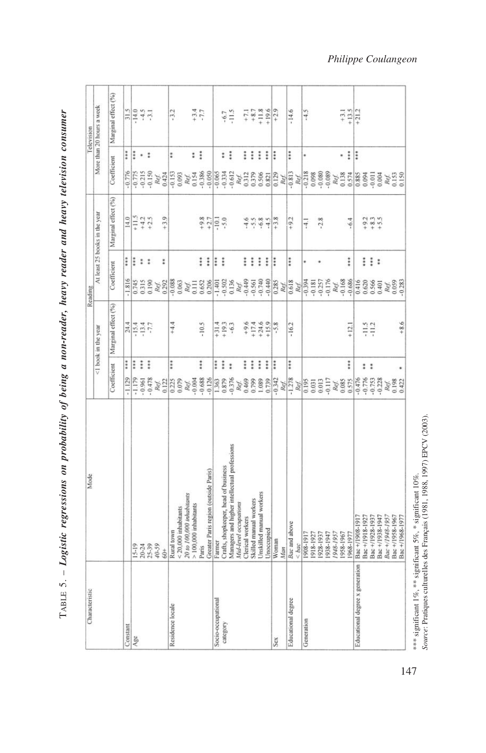| Characteristic                  | Mode                                         |                        |                                  | Reading                         |                               |                                      | Television                |
|---------------------------------|----------------------------------------------|------------------------|----------------------------------|---------------------------------|-------------------------------|--------------------------------------|---------------------------|
|                                 |                                              |                        | <1 book in the year              |                                 | At least 25 books in the year |                                      | More than 20 hours a week |
|                                 |                                              | Coefficient            | Marginal effect (%)              | Coefficient                     | Marginal effect (%)           | Coefficient                          | Marginal effect (%)       |
| Constant                        |                                              | $-1.129$               | $\ddot{\ddot{i}}$                | ***<br>$-1.816$                 | 14.0                          | $\ddot{x}$<br>$-0.776$               |                           |
| $Agc$                           |                                              | $-1.179$               | ŧ                                | $\ddot{\ddot{\cdot}}$<br>0.745  | $5 - 11 + 5$                  | $\ddot{\ddot{\cdot}}$<br>0.775       |                           |
|                                 | 15-19<br>20-24<br>25-39                      | $-0.961$               | $\frac{24.4}{15.4}$<br>$\vdots$  | : :<br>0.315                    |                               | * :<br>0.215                         | $rac{315}{14.5}$          |
|                                 |                                              | $-0.478$               | $\ddot{\ddot{i}}$                | 0.190                           | $+4.2$<br>+2.5                | 0.150                                |                           |
|                                 | $40 - 59$                                    |                        |                                  | Ref.                            |                               |                                      |                           |
|                                 | 60+                                          | Ref.<br>0.122          |                                  | $\ddot{*}$<br>0.292             | $+3.9$                        | Ref.<br>0.424                        |                           |
| Residence locale                | Rural town                                   | 0.225                  | $+4.4$<br>$\vdots$               | $-0.088$                        |                               | t<br>$-0.153$                        | $-3.2$                    |
|                                 | $< 20,000$ inhabitants                       | 0.079                  |                                  | 0.063                           |                               | 0.093                                |                           |
|                                 | 20 to 100,000 inhabitants                    | Ref.                   |                                  | Ref.                            |                               |                                      |                           |
|                                 | $>100,000$ inhabitants                       | $-0.004$               |                                  | 0.111                           |                               | $\ddot{\ddot{i}}$<br>Ref.<br>0.154   |                           |
|                                 | Paris                                        | 0.688                  | $-10.5$<br>***                   | ***<br>0.652                    |                               | $-0.386$                             | $+3.4$                    |
|                                 | Greater Paris region (outside Paris)         | $-0.126$               |                                  | $\ddot{\ddot{\imath}}$<br>0.206 | $+9.8$<br>$+2.7$              | $-0.050$                             |                           |
| Socio-occupational              | Farmer                                       | 1.363                  | $+31.4$<br>$\ddot{\ddot{i}}$     | ***<br>$-1.401$                 | $-10.1$                       | $-0.065$                             |                           |
| category                        | Crafts, shopkeeper, head of business         | 0.879                  | $+19.3$<br>***                   | ***<br>$-0.502$                 | .5.0                          | $\ddot{\ddot{\ast}}$<br>$-0.334$     | $-6.7$                    |
|                                 | Managers and higher intellectual professions | $-0.376$               | $-6.3$<br>$\ddot{x}$             | 0.136                           |                               | $\ddot{\ddot{\ } }$<br>$-0.612$      | $-11.5$                   |
|                                 | Mid-level occupations                        | Ref.                   |                                  | Ref.                            |                               |                                      |                           |
|                                 | Clerical workers                             |                        | $\ddot{ }$                       | $\frac{1}{2}$<br>$-0.449$       | $-4.6$                        | ::<br>Ref.<br>0312                   | $+7.1$<br>$+8.7$          |
|                                 | Skilled manual workers                       | 0.469<br>0.799         | $+9.6$<br>+17.4<br>$\frac{1}{4}$ | $\frac{1}{2}$<br>$-0.561$       | $-5.5$<br>$-6.8$              | $\ddot{\ddot{\pi}}$<br>0.379         |                           |
|                                 | Unskilled manual workers                     | 1.089                  | $+24.6$<br>$\ddot{ }$            | $\ddot{z}$<br>$-0.740$          |                               | $\ddot{\ddot{\imath}}$<br>0.506      |                           |
|                                 | Unoccupied                                   | 0.739                  | $+15.9$<br>$\ddot{t}$            | $\ddot{ }$<br>$-0.440$          | $-4.5$                        | $\ddot{\ddot{\cdot}}$<br>0.821       | $+11.8$<br>+19.6          |
| Sex                             | Woman                                        | $-0.342$               | $-5.8$<br>***                    | ***<br>0.285                    | $+3.8$                        | ***<br>0.129                         | $+2.9$                    |
|                                 | Man                                          | Ref.                   |                                  | Ref.                            |                               | Ref.                                 |                           |
| Educational degree              | Bac and above                                | $-1.278$               | $-16.2$<br>$\ddot{\ddot{\cdot}}$ | $\ddot{\ddot{\cdot}}$<br>0.618  | $+9.2$                        | $\ddot{\ddot{i}}$<br>$-0.813$        | $-14.6$                   |
|                                 | $&$ bac                                      | Ref.                   |                                  | Ref.                            |                               | Ref.                                 |                           |
| Generation                      | 161-8061                                     | 0.195                  |                                  | ×<br>$-0.394$                   | $-4.1$                        | $-0.218$                             | $-4.5$                    |
|                                 | 1918-1927                                    | 0.031                  |                                  | $-0.181$                        |                               | 0.098                                |                           |
|                                 | 928-1937                                     | 0.013                  |                                  | $-0.257$                        | $-2.8$                        | $-0.080$                             |                           |
|                                 | [561-856]                                    | $-0.117$               |                                  | $-0.176$                        |                               | $-0.089$                             |                           |
|                                 | 1948-1957                                    | Ref.                   |                                  | Ref.                            |                               |                                      |                           |
|                                 | 1958-1967                                    | 0.085                  |                                  | $-0.168$                        |                               | ×                                    | $+3.1$                    |
|                                 | 1968-1977                                    | 0.575                  | $+12.1$<br>$\ddot{x}$            | $\frac{1}{4}$<br>$-0.686$       | $-6.4$                        | $\ddot{z}$<br>Ref.<br>0.138<br>0.574 |                           |
| Educational degree x generation | Bac +/1908-1917                              | $-0.476$               |                                  | 0.416                           |                               | ŧ                                    | $+13.5$<br>$+21.2$        |
|                                 | Bac+/1918-1927                               | $-0.776$               | $-11.5$<br>$\vdots$              | $\ddot{z}$<br>0.620             | $+9.2$                        | 0.885                                |                           |
|                                 | Bac+/1928-1937                               | $-0.753$               |                                  | $\vdots$<br>0.566               | $+8.3$                        | $-0.011$                             |                           |
|                                 | Bac +/1938-1947                              | $-0.228$               |                                  | 0.401                           |                               | 0.004                                |                           |
|                                 | Bac +/1948-1957                              | Ref.<br>0.198<br>0.422 |                                  | Ref.<br>0.059                   |                               | Ref.<br>0.153<br>0.150               |                           |
|                                 | Bac +/1958-1967                              |                        |                                  |                                 |                               |                                      |                           |
|                                 | Bac+/1968-1977                               |                        | $+86$                            | $-0.283$                        |                               |                                      |                           |

TABLE 5. - Logistic regressions on probability of being a non-reader, heavy reader and heavy television consumer TABLE 5. – Logistic regressions on probability of being a non-reader, heavy reader and heavy television consumer

\*\*\* significant 1%, \*\* significant 5%, \* significant 10%.<br>Source: Pratiques culturelles des Français (1981, 1988, 1997) EPCV (2003). *Source*: Pratiques culturelles des Français (1981, 1988, 1997) EPCV (2003). \*\*\* significant 1%, \*\* significant 5%, \* significant 10%.

*Philippe Coulangeon*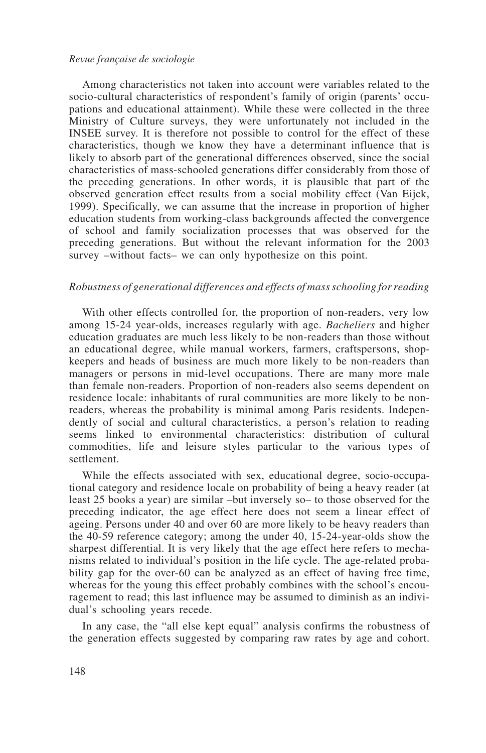Among characteristics not taken into account were variables related to the socio-cultural characteristics of respondent's family of origin (parents' occupations and educational attainment). While these were collected in the three Ministry of Culture surveys, they were unfortunately not included in the INSEE survey. It is therefore not possible to control for the effect of these characteristics, though we know they have a determinant influence that is likely to absorb part of the generational differences observed, since the social characteristics of mass-schooled generations differ considerably from those of the preceding generations. In other words, it is plausible that part of the observed generation effect results from a social mobility effect (Van Eijck, 1999). Specifically, we can assume that the increase in proportion of higher education students from working-class backgrounds affected the convergence of school and family socialization processes that was observed for the preceding generations. But without the relevant information for the 2003 survey –without facts– we can only hypothesize on this point.

#### *Robustness of generational differences and effects of mass schooling for reading*

With other effects controlled for, the proportion of non-readers, very low among 15-24 year-olds, increases regularly with age. *Bacheliers* and higher education graduates are much less likely to be non-readers than those without an educational degree, while manual workers, farmers, craftspersons, shopkeepers and heads of business are much more likely to be non-readers than managers or persons in mid-level occupations. There are many more male than female non-readers. Proportion of non-readers also seems dependent on residence locale: inhabitants of rural communities are more likely to be nonreaders, whereas the probability is minimal among Paris residents. Independently of social and cultural characteristics, a person's relation to reading seems linked to environmental characteristics: distribution of cultural commodities, life and leisure styles particular to the various types of settlement.

While the effects associated with sex, educational degree, socio-occupational category and residence locale on probability of being a heavy reader (at least 25 books a year) are similar –but inversely so– to those observed for the preceding indicator, the age effect here does not seem a linear effect of ageing. Persons under 40 and over 60 are more likely to be heavy readers than the 40-59 reference category; among the under 40, 15-24-year-olds show the sharpest differential. It is very likely that the age effect here refers to mechanisms related to individual's position in the life cycle. The age-related probability gap for the over-60 can be analyzed as an effect of having free time, whereas for the young this effect probably combines with the school's encouragement to read; this last influence may be assumed to diminish as an individual's schooling years recede.

In any case, the "all else kept equal" analysis confirms the robustness of the generation effects suggested by comparing raw rates by age and cohort.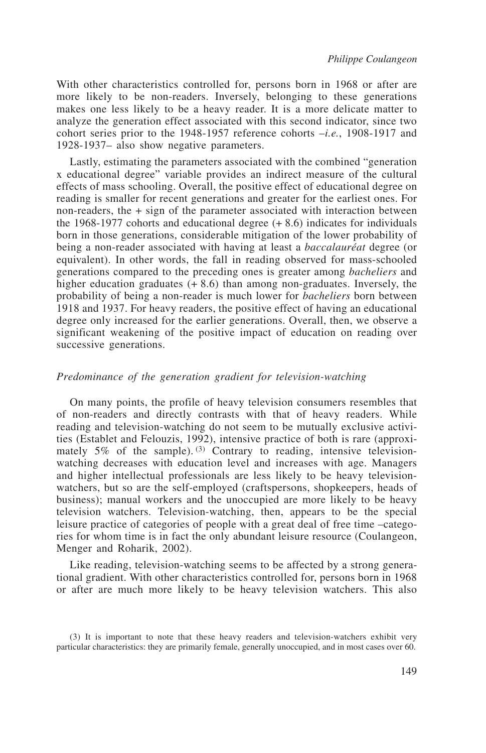With other characteristics controlled for, persons born in 1968 or after are more likely to be non-readers. Inversely, belonging to these generations makes one less likely to be a heavy reader. It is a more delicate matter to analyze the generation effect associated with this second indicator, since two cohort series prior to the 1948-1957 reference cohorts –*i.e.*, 1908-1917 and 1928-1937– also show negative parameters.

Lastly, estimating the parameters associated with the combined "generation x educational degree" variable provides an indirect measure of the cultural effects of mass schooling. Overall, the positive effect of educational degree on reading is smaller for recent generations and greater for the earliest ones. For non-readers, the + sign of the parameter associated with interaction between the 1968-1977 cohorts and educational degree (+ 8.6) indicates for individuals born in those generations, considerable mitigation of the lower probability of being a non-reader associated with having at least a *baccalauréat* degree (or equivalent). In other words, the fall in reading observed for mass-schooled generations compared to the preceding ones is greater among *bacheliers* and higher education graduates  $(+ 8.6)$  than among non-graduates. Inversely, the probability of being a non-reader is much lower for *bacheliers* born between 1918 and 1937. For heavy readers, the positive effect of having an educational degree only increased for the earlier generations. Overall, then, we observe a significant weakening of the positive impact of education on reading over successive generations.

#### *Predominance of the generation gradient for television-watching*

On many points, the profile of heavy television consumers resembles that of non-readers and directly contrasts with that of heavy readers. While reading and television-watching do not seem to be mutually exclusive activities (Establet and Felouzis, 1992), intensive practice of both is rare (approximately  $5\%$  of the sample). (3) Contrary to reading, intensive televisionwatching decreases with education level and increases with age. Managers and higher intellectual professionals are less likely to be heavy televisionwatchers, but so are the self-employed (craftspersons, shopkeepers, heads of business); manual workers and the unoccupied are more likely to be heavy television watchers. Television-watching, then, appears to be the special leisure practice of categories of people with a great deal of free time –categories for whom time is in fact the only abundant leisure resource (Coulangeon, Menger and Roharik, 2002).

Like reading, television-watching seems to be affected by a strong generational gradient. With other characteristics controlled for, persons born in 1968 or after are much more likely to be heavy television watchers. This also

<sup>(3)</sup> It is important to note that these heavy readers and television-watchers exhibit very particular characteristics: they are primarily female, generally unoccupied, and in most cases over 60.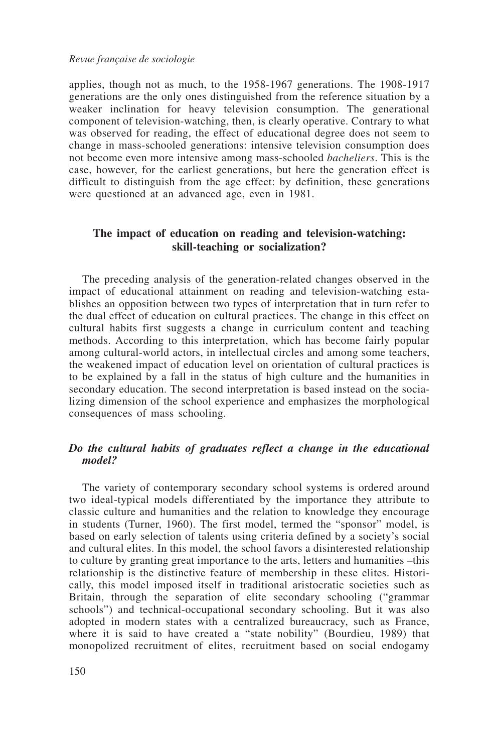applies, though not as much, to the 1958-1967 generations. The 1908-1917 generations are the only ones distinguished from the reference situation by a weaker inclination for heavy television consumption. The generational component of television-watching, then, is clearly operative. Contrary to what was observed for reading, the effect of educational degree does not seem to change in mass-schooled generations: intensive television consumption does not become even more intensive among mass-schooled *bacheliers*. This is the case, however, for the earliest generations, but here the generation effect is difficult to distinguish from the age effect: by definition, these generations were questioned at an advanced age, even in 1981.

#### **The impact of education on reading and television-watching: skill-teaching or socialization?**

The preceding analysis of the generation-related changes observed in the impact of educational attainment on reading and television-watching establishes an opposition between two types of interpretation that in turn refer to the dual effect of education on cultural practices. The change in this effect on cultural habits first suggests a change in curriculum content and teaching methods. According to this interpretation, which has become fairly popular among cultural-world actors, in intellectual circles and among some teachers, the weakened impact of education level on orientation of cultural practices is to be explained by a fall in the status of high culture and the humanities in secondary education. The second interpretation is based instead on the socializing dimension of the school experience and emphasizes the morphological consequences of mass schooling.

#### *Do the cultural habits of graduates reflect a change in the educational model?*

The variety of contemporary secondary school systems is ordered around two ideal-typical models differentiated by the importance they attribute to classic culture and humanities and the relation to knowledge they encourage in students (Turner, 1960). The first model, termed the "sponsor" model, is based on early selection of talents using criteria defined by a society's social and cultural elites. In this model, the school favors a disinterested relationship to culture by granting great importance to the arts, letters and humanities –this relationship is the distinctive feature of membership in these elites. Historically, this model imposed itself in traditional aristocratic societies such as Britain, through the separation of elite secondary schooling ("grammar schools") and technical-occupational secondary schooling. But it was also adopted in modern states with a centralized bureaucracy, such as France, where it is said to have created a "state nobility" (Bourdieu, 1989) that monopolized recruitment of elites, recruitment based on social endogamy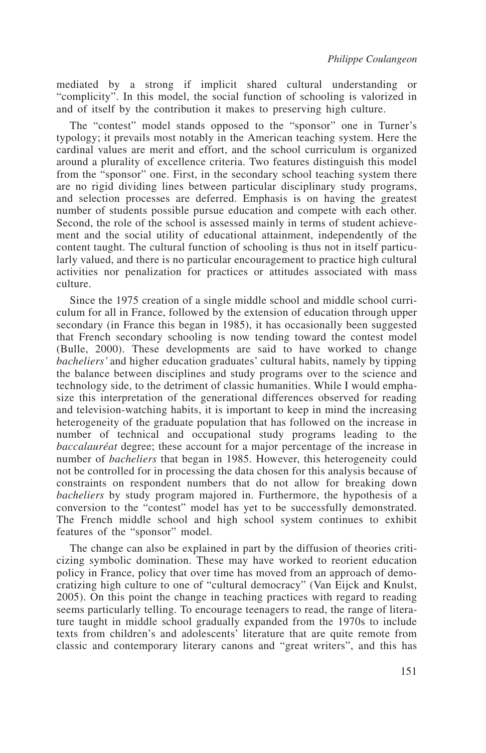mediated by a strong if implicit shared cultural understanding or "complicity". In this model, the social function of schooling is valorized in and of itself by the contribution it makes to preserving high culture.

The "contest" model stands opposed to the "sponsor" one in Turner's typology; it prevails most notably in the American teaching system. Here the cardinal values are merit and effort, and the school curriculum is organized around a plurality of excellence criteria. Two features distinguish this model from the "sponsor" one. First, in the secondary school teaching system there are no rigid dividing lines between particular disciplinary study programs, and selection processes are deferred. Emphasis is on having the greatest number of students possible pursue education and compete with each other. Second, the role of the school is assessed mainly in terms of student achievement and the social utility of educational attainment, independently of the content taught. The cultural function of schooling is thus not in itself particularly valued, and there is no particular encouragement to practice high cultural activities nor penalization for practices or attitudes associated with mass culture.

Since the 1975 creation of a single middle school and middle school curriculum for all in France, followed by the extension of education through upper secondary (in France this began in 1985), it has occasionally been suggested that French secondary schooling is now tending toward the contest model (Bulle, 2000). These developments are said to have worked to change *bacheliers'* and higher education graduates' cultural habits, namely by tipping the balance between disciplines and study programs over to the science and technology side, to the detriment of classic humanities. While I would emphasize this interpretation of the generational differences observed for reading and television-watching habits, it is important to keep in mind the increasing heterogeneity of the graduate population that has followed on the increase in number of technical and occupational study programs leading to the *baccalauréat* degree; these account for a major percentage of the increase in number of *bacheliers* that began in 1985. However, this heterogeneity could not be controlled for in processing the data chosen for this analysis because of constraints on respondent numbers that do not allow for breaking down *bacheliers* by study program majored in. Furthermore, the hypothesis of a conversion to the "contest" model has yet to be successfully demonstrated. The French middle school and high school system continues to exhibit features of the "sponsor" model.

The change can also be explained in part by the diffusion of theories criticizing symbolic domination. These may have worked to reorient education policy in France, policy that over time has moved from an approach of democratizing high culture to one of "cultural democracy" (Van Eijck and Knulst, 2005). On this point the change in teaching practices with regard to reading seems particularly telling. To encourage teenagers to read, the range of literature taught in middle school gradually expanded from the 1970s to include texts from children's and adolescents' literature that are quite remote from classic and contemporary literary canons and "great writers", and this has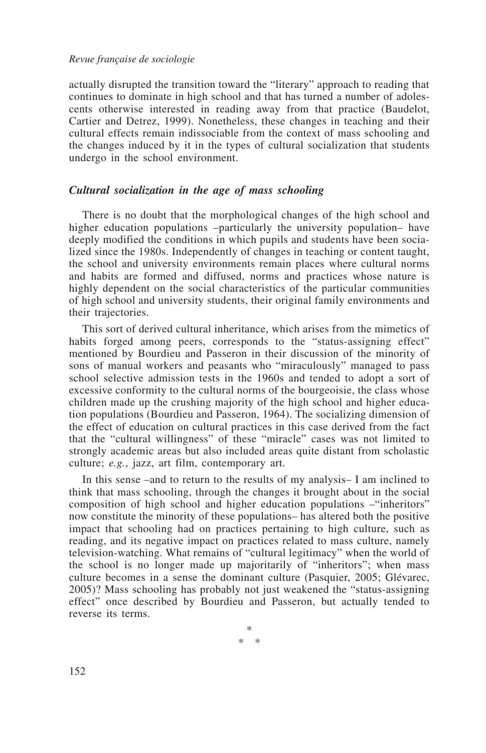actually disrupted the transition toward the "literary" approach to reading that continues to dominate in high school and that has turned a number of adolescents otherwise interested in reading away from that practice (Baudelot, Cartier and Detrez, 1999). Nonetheless, these changes in teaching and their cultural effects remain indissociable from the context of mass schooling and the changes induced by it in the types of cultural socialization that students undergo in the school environment.

#### *Cultural socialization in the age of mass schooling*

There is no doubt that the morphological changes of the high school and higher education populations –particularly the university population– have deeply modified the conditions in which pupils and students have been socialized since the 1980s. Independently of changes in teaching or content taught, the school and university environments remain places where cultural norms and habits are formed and diffused, norms and practices whose nature is highly dependent on the social characteristics of the particular communities of high school and university students, their original family environments and their trajectories.

This sort of derived cultural inheritance, which arises from the mimetics of habits forged among peers, corresponds to the "status-assigning effect" mentioned by Bourdieu and Passeron in their discussion of the minority of sons of manual workers and peasants who "miraculously" managed to pass school selective admission tests in the 1960s and tended to adopt a sort of excessive conformity to the cultural norms of the bourgeoisie, the class whose children made up the crushing majority of the high school and higher education populations (Bourdieu and Passeron, 1964). The socializing dimension of the effect of education on cultural practices in this case derived from the fact that the "cultural willingness" of these "miracle" cases was not limited to strongly academic areas but also included areas quite distant from scholastic culture; *e.g.*, jazz, art film, contemporary art.

In this sense –and to return to the results of my analysis– I am inclined to think that mass schooling, through the changes it brought about in the social composition of high school and higher education populations –"inheritors" now constitute the minority of these populations– has altered both the positive impact that schooling had on practices pertaining to high culture, such as reading, and its negative impact on practices related to mass culture, namely television-watching. What remains of "cultural legitimacy" when the world of the school is no longer made up majoritarily of "inheritors"; when mass culture becomes in a sense the dominant culture (Pasquier, 2005; Glévarec, 2005)? Mass schooling has probably not just weakened the "status-assigning effect" once described by Bourdieu and Passeron, but actually tended to reverse its terms.

> \* \* \*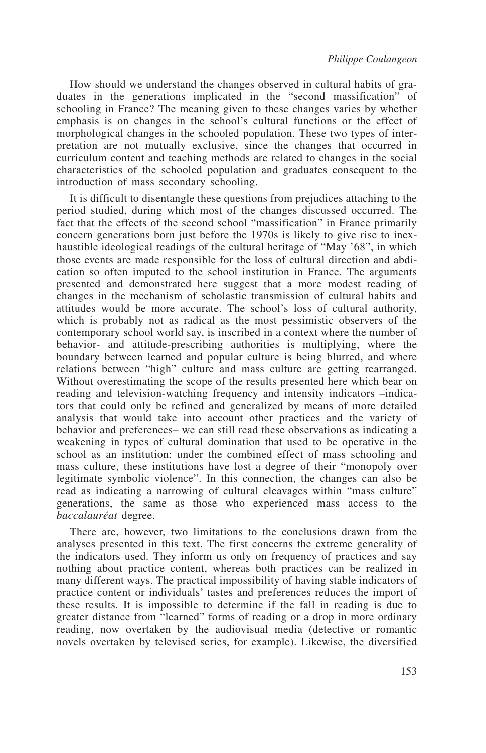How should we understand the changes observed in cultural habits of graduates in the generations implicated in the "second massification" of schooling in France? The meaning given to these changes varies by whether emphasis is on changes in the school's cultural functions or the effect of morphological changes in the schooled population. These two types of interpretation are not mutually exclusive, since the changes that occurred in curriculum content and teaching methods are related to changes in the social characteristics of the schooled population and graduates consequent to the introduction of mass secondary schooling.

It is difficult to disentangle these questions from prejudices attaching to the period studied, during which most of the changes discussed occurred. The fact that the effects of the second school "massification" in France primarily concern generations born just before the 1970s is likely to give rise to inexhaustible ideological readings of the cultural heritage of "May '68", in which those events are made responsible for the loss of cultural direction and abdication so often imputed to the school institution in France. The arguments presented and demonstrated here suggest that a more modest reading of changes in the mechanism of scholastic transmission of cultural habits and attitudes would be more accurate. The school's loss of cultural authority, which is probably not as radical as the most pessimistic observers of the contemporary school world say, is inscribed in a context where the number of behavior- and attitude-prescribing authorities is multiplying, where the boundary between learned and popular culture is being blurred, and where relations between "high" culture and mass culture are getting rearranged. Without overestimating the scope of the results presented here which bear on reading and television-watching frequency and intensity indicators –indicators that could only be refined and generalized by means of more detailed analysis that would take into account other practices and the variety of behavior and preferences– we can still read these observations as indicating a weakening in types of cultural domination that used to be operative in the school as an institution: under the combined effect of mass schooling and mass culture, these institutions have lost a degree of their "monopoly over legitimate symbolic violence". In this connection, the changes can also be read as indicating a narrowing of cultural cleavages within "mass culture" generations, the same as those who experienced mass access to the *baccalauréat* degree.

There are, however, two limitations to the conclusions drawn from the analyses presented in this text. The first concerns the extreme generality of the indicators used. They inform us only on frequency of practices and say nothing about practice content, whereas both practices can be realized in many different ways. The practical impossibility of having stable indicators of practice content or individuals' tastes and preferences reduces the import of these results. It is impossible to determine if the fall in reading is due to greater distance from "learned" forms of reading or a drop in more ordinary reading, now overtaken by the audiovisual media (detective or romantic novels overtaken by televised series, for example). Likewise, the diversified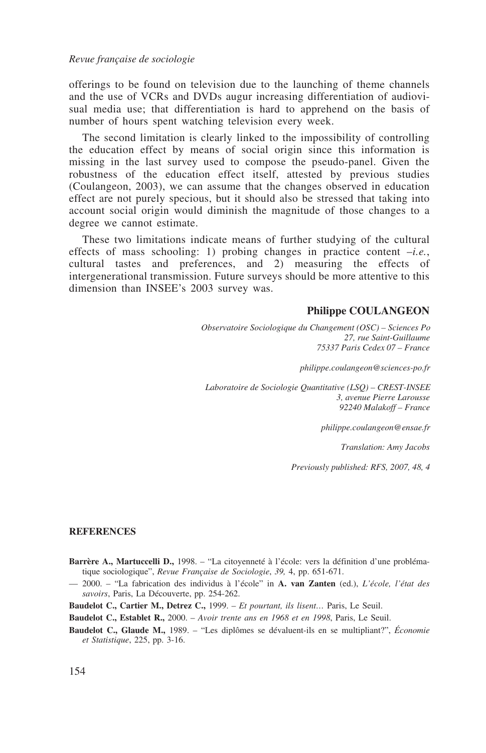offerings to be found on television due to the launching of theme channels and the use of VCRs and DVDs augur increasing differentiation of audiovisual media use; that differentiation is hard to apprehend on the basis of number of hours spent watching television every week.

The second limitation is clearly linked to the impossibility of controlling the education effect by means of social origin since this information is missing in the last survey used to compose the pseudo-panel. Given the robustness of the education effect itself, attested by previous studies (Coulangeon, 2003), we can assume that the changes observed in education effect are not purely specious, but it should also be stressed that taking into account social origin would diminish the magnitude of those changes to a degree we cannot estimate.

These two limitations indicate means of further studying of the cultural effects of mass schooling: 1) probing changes in practice content –*i.e.*, cultural tastes and preferences, and 2) measuring the effects of intergenerational transmission. Future surveys should be more attentive to this dimension than INSEE's 2003 survey was.

#### **Philippe COULANGEON**

*Observatoire Sociologique du Changement (OSC) – Sciences Po 27, rue Saint-Guillaume 75337 Paris Cedex 07 – France*

*philippe.coulangeon@sciences-po.fr*

*Laboratoire de Sociologie Quantitative (LSQ) – CREST-INSEE 3, avenue Pierre Larousse 92240 Malakoff – France*

*philippe.coulangeon@ensae.fr*

*Translation: Amy Jacobs*

*Previously published: RFS, 2007, 48, 4*

#### **REFERENCES**

- **Barrère A., Martuccelli D.,** 1998. "La citoyenneté à l'école: vers la définition d'une problématique sociologique", *Revue Française de Sociologie*, *39,* 4, pp. 651-671.
- 2000. "La fabrication des individus à l'école" in **A. van Zanten** (ed.), *L'école, l'état des savoirs*, Paris, La Découverte, pp. 254-262.
- **Baudelot C., Cartier M., Detrez C.,** 1999. *Et pourtant, ils lisent…* Paris, Le Seuil.

**Baudelot C., Establet R.,** 2000. – *Avoir trente ans en 1968 et en 1998*, Paris, Le Seuil.

**Baudelot C., Glaude M.,** 1989. – "Les diplômes se dévaluent-ils en se multipliant?", *Économie et Statistique*, 225, pp. 3-16.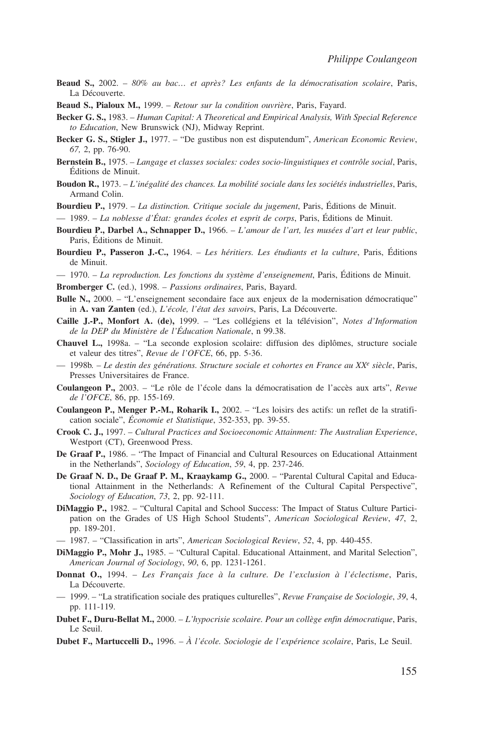- **Beaud S.,** 2002. *80*% *au bac… et après? Les enfants de la démocratisation scolaire*, Paris, La Découverte.
- **Beaud S., Pialoux M.,** 1999. *Retour sur la condition ouvrière*, Paris, Fayard.
- **Becker G. S.,** 1983. *Human Capital: A Theoretical and Empirical Analysis, With Special Reference to Education*, New Brunswick (NJ), Midway Reprint.
- **Becker G. S., Stigler J.,** 1977. "De gustibus non est disputendum", *American Economic Review*, *67,* 2, pp. 76-90.
- **Bernstein B.,** 1975. *Langage et classes sociales: codes socio-linguistiques et contrôle social*, Paris, Éditions de Minuit.
- **Boudon R.,** 1973. *L'inégalité des chances. La mobilité sociale dans les sociétés industrielles*, Paris, Armand Colin.

**Bourdieu P.,** 1979. – *La distinction. Critique sociale du jugement*, Paris, Éditions de Minuit.

— 1989. – *La noblesse d'État: grandes écoles et esprit de corps*, Paris, Éditions de Minuit.

- **Bourdieu P., Darbel A., Schnapper D.,** 1966. *L'amour de l'art, les musées d'art et leur public*, Paris, Éditions de Minuit.
- **Bourdieu P., Passeron J.-C.,** 1964. *Les héritiers. Les étudiants et la culture*, Paris, Éditions de Minuit.
- 1970. *La reproduction. Les fonctions du système d'enseignement*, Paris, Éditions de Minuit.
- **Bromberger C.** (ed.), 1998. *Passions ordinaires*, Paris, Bayard.
- **Bulle N.,** 2000. "L'enseignement secondaire face aux enjeux de la modernisation démocratique" in **A. van Zanten** (ed.), *L'école, l'état des savoir*s, Paris, La Découverte.
- **Caille J.-P., Monfort A. (de),** 1999. "Les collégiens et la télévision", *Notes d'Information de la DEP du Ministère de l'Éducation Nationale*, n 99.38.
- **Chauvel L.,** 1998a. "La seconde explosion scolaire: diffusion des diplômes, structure sociale et valeur des titres", *Revue de l'OFCE*, 66, pp. 5-36.
- 1998b*. Le destin des générations. Structure sociale et cohortes en France au XXe siècle*, Paris, Presses Universitaires de France.
- **Coulangeon P.,** 2003. "Le rôle de l'école dans la démocratisation de l'accès aux arts", *Revue de l'OFCE*, 86, pp. 155-169.
- **Coulangeon P., Menger P.-M., Roharik I.,** 2002. "Les loisirs des actifs: un reflet de la stratification sociale", *Économie et Statistique*, 352-353, pp. 39-55.
- **Crook C. J.,** 1997. *Cultural Practices and Socioeconomic Attainment: The Australian Experience*, Westport (CT), Greenwood Press.
- **De Graaf P.,** 1986. "The Impact of Financial and Cultural Resources on Educational Attainment in the Netherlands", *Sociology of Education*, *59*, 4, pp. 237-246.
- **De Graaf N. D., De Graaf P. M., Kraaykamp G.,** 2000. "Parental Cultural Capital and Educational Attainment in the Netherlands: A Refinement of the Cultural Capital Perspective", *Sociology of Education*, *73*, 2, pp. 92-111.
- **DiMaggio P.,** 1982. "Cultural Capital and School Success: The Impact of Status Culture Participation on the Grades of US High School Students", *American Sociological Review*, *47*, 2, pp. 189-201.
- 1987. "Classification in arts", *American Sociological Review*, *52*, 4, pp. 440-455.
- **DiMaggio P., Mohr J.,** 1985. "Cultural Capital. Educational Attainment, and Marital Selection", *American Journal of Sociology*, *90*, 6, pp. 1231-1261.
- **Donnat O.,** 1994. *Les Français face à la culture. De l'exclusion à l'éclectisme*, Paris, La Découverte.
- 1999. "La stratification sociale des pratiques culturelles", *Revue Française de Sociologie*, *39*, 4, pp. 111-119.
- **Dubet F., Duru-Bellat M.,** 2000. *L'hypocrisie scolaire. Pour un collège enfin démocratique*, Paris, Le Seuil.
- **Dubet F., Martuccelli D.,** 1996. *À l'école. Sociologie de l'expérience scolaire*, Paris, Le Seuil.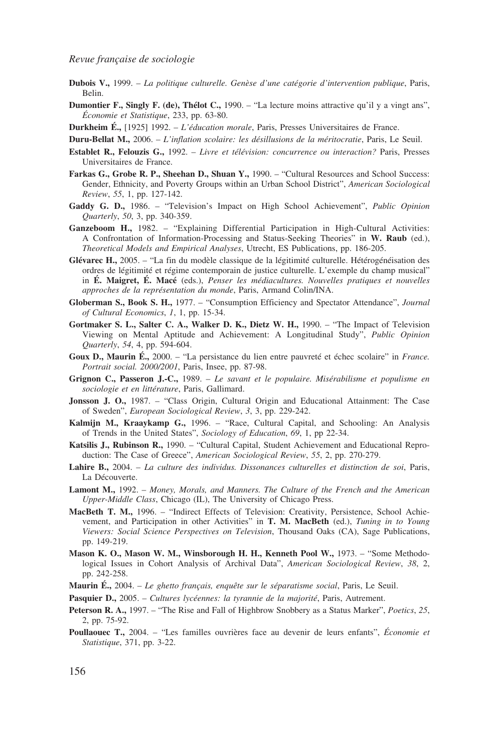- **Dubois V.,** 1999. *La politique culturelle. Genèse d'une catégorie d'intervention publique*, Paris, Belin.
- **Dumontier F., Singly F. (de), Thélot C.,** 1990. "La lecture moins attractive qu'il y a vingt ans", *Économie et Statistique*, 233, pp. 63-80.
- **Durkheim É.,** [1925] 1992. *L'éducation morale*, Paris, Presses Universitaires de France.
- **Duru-Bellat M.,** 2006. *L'inflation scolaire: les désillusions de la méritocratie*, Paris, Le Seuil.
- **Establet R., Felouzis G.,** 1992. *Livre et télévision: concurrence ou interaction?* Paris, Presses Universitaires de France.
- **Farkas G., Grobe R. P., Sheehan D., Shuan Y.,** 1990. "Cultural Resources and School Success: Gender, Ethnicity, and Poverty Groups within an Urban School District", *American Sociological Review*, *55*, 1, pp. 127-142.
- **Gaddy G. D.,** 1986. "Television's Impact on High School Achievement", *Public Opinion Quarterly*, *50*, 3, pp. 340-359.
- **Ganzeboom H.,** 1982. "Explaining Differential Participation in High-Cultural Activities: A Confrontation of Information-Processing and Status-Seeking Theories" in **W. Raub** (ed.), *Theoretical Models and Empirical Analyses*, Utrecht, ES Publications, pp. 186-205.
- **Glévarec H.,** 2005. "La fin du modèle classique de la légitimité culturelle. Hétérogénéisation des ordres de légitimité et régime contemporain de justice culturelle. L'exemple du champ musical" in **É. Maigret, É. Macé** (eds.), *Penser les médiacultures. Nouvelles pratiques et nouvelles approches de la représentation du monde*, Paris, Armand Colin/INA.
- **Globerman S., Book S. H.,** 1977. "Consumption Efficiency and Spectator Attendance", *Journal of Cultural Economics*, *1*, 1, pp. 15-34.
- **Gortmaker S. L., Salter C. A., Walker D. K., Dietz W. H.,** 1990. "The Impact of Television Viewing on Mental Aptitude and Achievement: A Longitudinal Study", *Public Opinion Quarterly*, *54*, 4, pp. 594-604.
- **Goux D., Maurin É.,** 2000. "La persistance du lien entre pauvreté et échec scolaire" in *France. Portrait social. 2000/2001*, Paris, Insee, pp. 87-98.
- **Grignon C., Passeron J.-C.,** 1989. *Le savant et le populaire. Misérabilisme et populisme en sociologie et en littérature*, Paris, Gallimard.
- **Jonsson J. O.,** 1987. "Class Origin, Cultural Origin and Educational Attainment: The Case of Sweden", *European Sociological Review*, *3*, 3, pp. 229-242.
- **Kalmijn M., Kraaykamp G.,** 1996. "Race, Cultural Capital, and Schooling: An Analysis of Trends in the United States", *Sociology of Education*, *69*, 1, pp 22-34.
- **Katsilis J., Rubinson R.,** 1990. "Cultural Capital, Student Achievement and Educational Reproduction: The Case of Greece", *American Sociological Review*, *55*, 2, pp. 270-279.
- **Lahire B.,** 2004. *La culture des individus. Dissonances culturelles et distinction de soi*, Paris, La Découverte.
- **Lamont M.,** 1992. *Money, Morals, and Manners. The Culture of the French and the American Upper-Middle Class*, Chicago (IL), The University of Chicago Press.
- **MacBeth T. M.,** 1996. "Indirect Effects of Television: Creativity, Persistence, School Achievement, and Participation in other Activities" in **T. M. MacBeth** (ed.), *Tuning in to Young Viewers: Social Science Perspectives on Television*, Thousand Oaks (CA), Sage Publications, pp. 149-219.
- **Mason K. O., Mason W. M., Winsborough H. H., Kenneth Pool W.,** 1973. "Some Methodological Issues in Cohort Analysis of Archival Data", *American Sociological Review*, *38*, 2, pp. 242-258.
- **Maurin É.,** 2004. *Le ghetto français, enquête sur le séparatisme social*, Paris, Le Seuil.
- **Pasquier D.,** 2005. *Cultures lycéennes: la tyrannie de la majorité*, Paris, Autrement.
- **Peterson R. A.,** 1997. "The Rise and Fall of Highbrow Snobbery as a Status Marker", *Poetics*, *25*, 2, pp. 75-92.
- **Poullaouec T.,** 2004. "Les familles ouvrières face au devenir de leurs enfants", *Économie et Statistique*, 371, pp. 3-22.